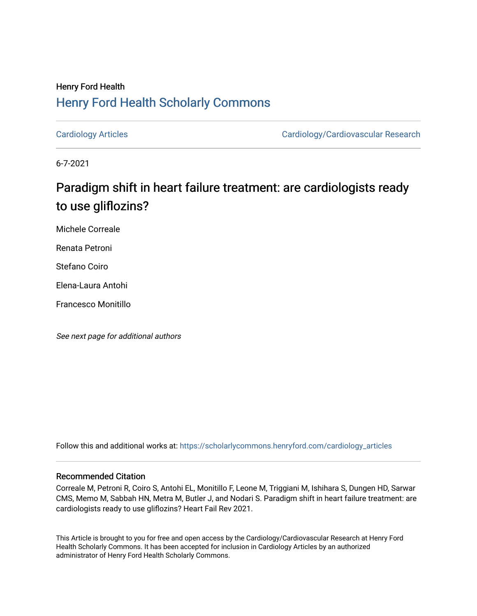# Henry Ford Health [Henry Ford Health Scholarly Commons](https://scholarlycommons.henryford.com/)

[Cardiology Articles](https://scholarlycommons.henryford.com/cardiology_articles) [Cardiology/Cardiovascular Research](https://scholarlycommons.henryford.com/cardiology) 

6-7-2021

# Paradigm shift in heart failure treatment: are cardiologists ready to use gliflozins?

Michele Correale

Renata Petroni

Stefano Coiro

Elena-Laura Antohi

Francesco Monitillo

See next page for additional authors

Follow this and additional works at: [https://scholarlycommons.henryford.com/cardiology\\_articles](https://scholarlycommons.henryford.com/cardiology_articles?utm_source=scholarlycommons.henryford.com%2Fcardiology_articles%2F768&utm_medium=PDF&utm_campaign=PDFCoverPages)

### Recommended Citation

Correale M, Petroni R, Coiro S, Antohi EL, Monitillo F, Leone M, Triggiani M, Ishihara S, Dungen HD, Sarwar CMS, Memo M, Sabbah HN, Metra M, Butler J, and Nodari S. Paradigm shift in heart failure treatment: are cardiologists ready to use gliflozins? Heart Fail Rev 2021.

This Article is brought to you for free and open access by the Cardiology/Cardiovascular Research at Henry Ford Health Scholarly Commons. It has been accepted for inclusion in Cardiology Articles by an authorized administrator of Henry Ford Health Scholarly Commons.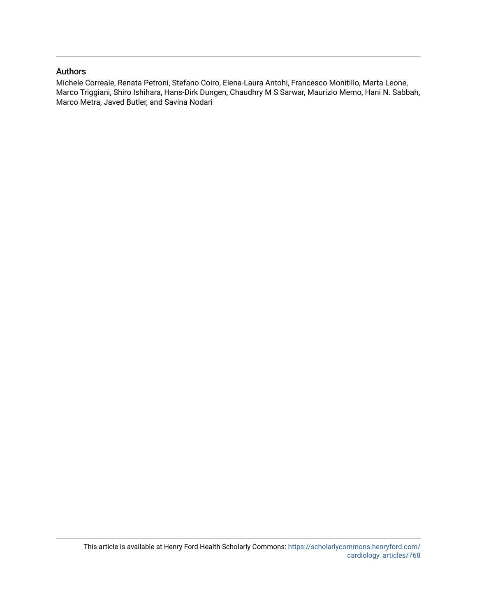## Authors

Michele Correale, Renata Petroni, Stefano Coiro, Elena-Laura Antohi, Francesco Monitillo, Marta Leone, Marco Triggiani, Shiro Ishihara, Hans-Dirk Dungen, Chaudhry M S Sarwar, Maurizio Memo, Hani N. Sabbah, Marco Metra, Javed Butler, and Savina Nodari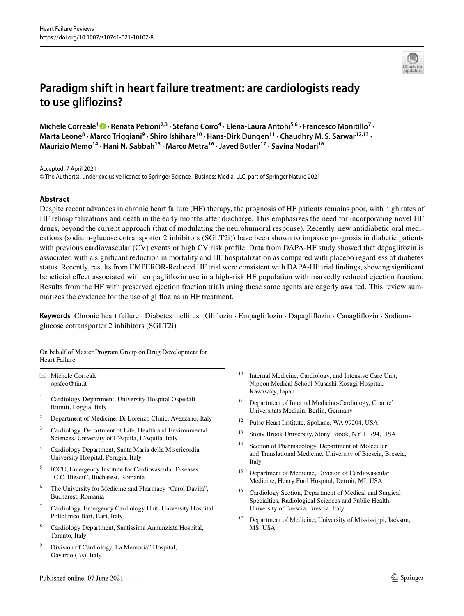

# **Paradigm shift in heart failure treatment: are cardiologists ready to use gliflozins?**

MicheleCorreale<sup>1</sup><sup>®</sup> · Renata Petroni<sup>2,3</sup> · Stefano Coiro<sup>4</sup> · Elena-Laura Antohi<sup>5,6</sup> · Francesco Monitillo<sup>7</sup> · Marta Leone<sup>8</sup> · Marco Triggiani<sup>9</sup> · Shiro Ishihara<sup>10</sup> · Hans-Dirk Dungen<sup>11</sup> · Chaudhry M. S. Sarwar<sup>12,13</sup> · **Maurizio Memo14 · Hani N. Sabbah15 · Marco Metra16 · Javed Butler17 · Savina Nodari16**

Accepted: 7 April 2021 © The Author(s), under exclusive licence to Springer Science+Business Media, LLC, part of Springer Nature 2021

#### **Abstract**

Despite recent advances in chronic heart failure (HF) therapy, the prognosis of HF patients remains poor, with high rates of HF rehospitalizations and death in the early months after discharge. This emphasizes the need for incorporating novel HF drugs, beyond the current approach (that of modulating the neurohumoral response). Recently, new antidiabetic oral medications (sodium-glucose cotransporter 2 inhibitors (SGLT2i)) have been shown to improve prognosis in diabetic patients with previous cardiovascular (CV) events or high CV risk profile. Data from DAPA-HF study showed that dapaglifozin is associated with a signifcant reduction in mortality and HF hospitalization as compared with placebo regardless of diabetes status. Recently, results from EMPEROR-Reduced HF trial were consistent with DAPA-HF trial fndings, showing signifcant benefcial efect associated with empaglifozin use in a high-risk HF population with markedly reduced ejection fraction. Results from the HF with preserved ejection fraction trials using these same agents are eagerly awaited. This review summarizes the evidence for the use of glifozins in HF treatment.

**Keywords** Chronic heart failure · Diabetes mellitus · Glifozin · Empaglifozin · Dapaglifozin · Canaglifozin · Sodiumglucose cotransporter 2 inhibitors (SGLT2i)

On behalf of Master Program Group on Drug Development for Heart Failure

 $\boxtimes$  Michele Correale opsfco@tin.it

- <sup>1</sup> Cardiology Department, University Hospital Ospedali Riuniti, Foggia, Italy
- <sup>2</sup> Department of Medicine, Di Lorenzo Clinic, Avezzano, Italy
- <sup>3</sup> Cardiology, Department of Life, Health and Environmental Sciences, University of L'Aquila, L'Aquila, Italy
- <sup>4</sup> Cardiology Department, Santa Maria della Misericordia University Hospital, Perugia, Italy
- <sup>5</sup> ICCU, Emergency Institute for Cardiovascular Diseases "C.C. Iliescu", Bucharest, Romania
- The University for Medicine and Pharmacy "Carol Davila", Bucharest, Romania
- <sup>7</sup> Cardiology, Emergency Cardiology Unit, University Hospital Policlinico Bari, Bari, Italy
- <sup>8</sup> Cardiology Department, Santissima Annunziata Hospital, Taranto, Italy
- Division of Cardiology, La Memoria" Hospital, Gavardo (Bs), Italy
- <sup>10</sup> Internal Medicine, Cardiology, and Intensive Care Unit, Nippon Medical School Musashi-Kosugi Hospital, Kawasaky, Japan
- <sup>11</sup> Department of Internal Medicine-Cardiology, Charite' Universitäts Medizin, Berlin, Germany
- <sup>12</sup> Pulse Heart Institute, Spokane, WA 99204, USA
- <sup>13</sup> Stony Brook University, Stony Brook, NY 11794, USA
- <sup>14</sup> Section of Pharmacology, Department of Molecular and Translational Medicine, University of Brescia, Brescia, Italy
- <sup>15</sup> Department of Medicine, Division of Cardiovascular Medicine, Henry Ford Hospital, Detroit, MI, USA
- <sup>16</sup> Cardiology Section, Department of Medical and Surgical Specialties, Radiological Sciences and Public Health, University of Brescia, Brescia, Italy
- <sup>17</sup> Department of Medicine, University of Mississippi, Jackson, MS, USA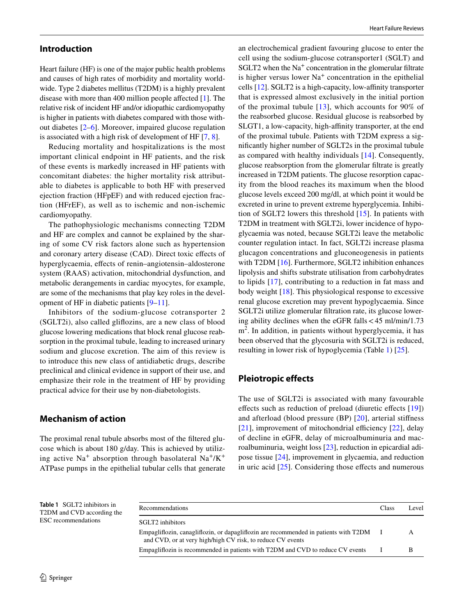#### **Introduction**

Heart failure (HF) is one of the major public health problems and causes of high rates of morbidity and mortality worldwide. Type 2 diabetes mellitus (T2DM) is a highly prevalent disease with more than 400 million people afected [\[1](#page-15-0)]. The relative risk of incident HF and/or idiopathic cardiomyopathy is higher in patients with diabetes compared with those without diabetes [\[2](#page-15-1)–[6\]](#page-15-2). Moreover, impaired glucose regulation is associated with a high risk of development of HF [[7,](#page-15-3) [8\]](#page-15-4).

Reducing mortality and hospitalizations is the most important clinical endpoint in HF patients, and the risk of these events is markedly increased in HF patients with concomitant diabetes: the higher mortality risk attributable to diabetes is applicable to both HF with preserved ejection fraction (HFpEF) and with reduced ejection fraction (HFrEF), as well as to ischemic and non-ischemic cardiomyopathy.

The pathophysiologic mechanisms connecting T2DM and HF are complex and cannot be explained by the sharing of some CV risk factors alone such as hypertension and coronary artery disease (CAD). Direct toxic efects of hyperglycaemia, effects of renin–angiotensin–aldosterone system (RAAS) activation, mitochondrial dysfunction, and metabolic derangements in cardiac myocytes, for example, are some of the mechanisms that play key roles in the development of HF in diabetic patients [[9–](#page-15-5)[11](#page-15-6)].

Inhibitors of the sodium-glucose cotransporter 2 (SGLT2i), also called glifozins, are a new class of blood glucose lowering medications that block renal glucose reabsorption in the proximal tubule, leading to increased urinary sodium and glucose excretion. The aim of this review is to introduce this new class of antidiabetic drugs, describe preclinical and clinical evidence in support of their use, and emphasize their role in the treatment of HF by providing practical advice for their use by non-diabetologists.

#### **Mechanism of action**

The proximal renal tubule absorbs most of the fltered glucose which is about 180 g/day. This is achieved by utilizing active Na<sup>+</sup> absorption through basolateral Na<sup>+</sup>/K<sup>+</sup> ATPase pumps in the epithelial tubular cells that generate an electrochemical gradient favouring glucose to enter the cell using the sodium-glucose cotransporter1 (SGLT) and SGLT2 when the  $Na<sup>+</sup>$  concentration in the glomerular filtrate is higher versus lower  $Na<sup>+</sup>$  concentration in the epithelial cells  $[12]$  $[12]$ . SGLT2 is a high-capacity, low-affinity transporter that is expressed almost exclusively in the initial portion of the proximal tubule [\[13\]](#page-15-8), which accounts for 90% of the reabsorbed glucose. Residual glucose is reabsorbed by SLGT1, a low-capacity, high-affinity transporter, at the end of the proximal tubule. Patients with T2DM express a signifcantly higher number of SGLT2s in the proximal tubule as compared with healthy individuals [[14](#page-15-9)]. Consequently, glucose reabsorption from the glomerular fltrate is greatly increased in T2DM patients. The glucose resorption capacity from the blood reaches its maximum when the blood glucose levels exceed 200 mg/dl, at which point it would be excreted in urine to prevent extreme hyperglycemia. Inhibition of SGLT2 lowers this threshold [[15](#page-15-10)]. In patients with T2DM in treatment with SGLT2i, lower incidence of hypoglycaemia was noted, because SGLT2i leave the metabolic counter regulation intact. In fact, SGLT2i increase plasma glucagon concentrations and gluconeogenesis in patients with T2DM [[16\]](#page-15-11). Furthermore, SGLT2 inhibition enhances lipolysis and shifts substrate utilisation from carbohydrates to lipids [[17](#page-15-12)], contributing to a reduction in fat mass and body weight [\[18](#page-15-13)]. This physiological response to excessive renal glucose excretion may prevent hypoglycaemia. Since SGLT2i utilize glomerular fltration rate, its glucose lowering ability declines when the eGFR falls  $\lt$  45 ml/min/1.73 m<sup>2</sup>. In addition, in patients without hyperglycemia, it has been observed that the glycosuria with SGLT2i is reduced, resulting in lower risk of hypoglycemia (Table [1\)](#page-3-0) [[25\]](#page-15-14).

#### **Pleiotropic effects**

The use of SGLT2i is associated with many favourable effects such as reduction of preload (diuretic effects [\[19](#page-15-15)]) and afterload (blood pressure (BP) [[20](#page-15-16)], arterial stifness  $[21]$  $[21]$ , improvement of mitochondrial efficiency  $[22]$ , delay of decline in eGFR, delay of microalbuminuria and macroalbuminuria, weight loss [\[23\]](#page-15-19), reduction in epicardial adipose tissue [[24\]](#page-15-20), improvement in glycaemia, and reduction in uric acid  $[25]$  $[25]$ . Considering those effects and numerous

<span id="page-3-0"></span>**Table 1** SGLT2 inhibitors in T2DM and CVD according the ESC recommendations

| Recommendations                                                                                                                                    | Class | Level |
|----------------------------------------------------------------------------------------------------------------------------------------------------|-------|-------|
| SGLT2 inhibitors                                                                                                                                   |       |       |
| Empagliflozin, canagliflozin, or dapagliflozin are recommended in patients with T2DM<br>and CVD, or at very high/high CV risk, to reduce CV events | - 1   | A     |
| Empagliflozin is recommended in patients with T2DM and CVD to reduce CV events                                                                     |       | в     |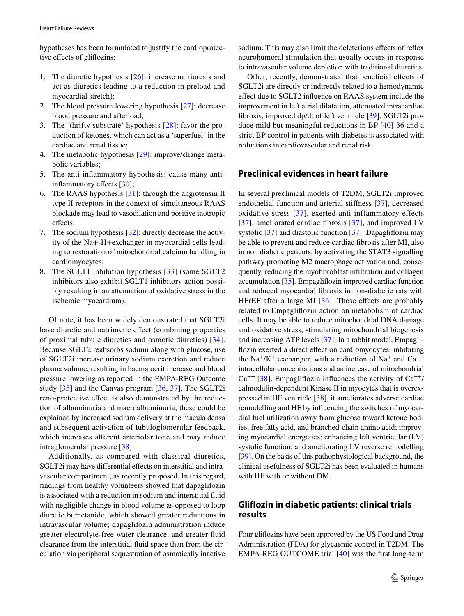hypotheses has been formulated to justify the cardioprotective efects of glifozins:

- 1. The diuretic hypothesis  $[26]$ : increase natriuresis and act as diuretics leading to a reduction in preload and myocardial stretch);
- 2. The blood pressure lowering hypothesis [\[27](#page-16-0)]: decrease blood pressure and afterload;
- 3. The 'thrifty substrate' hypothesis [[28\]](#page-16-1): favor the production of ketones, which can act as a 'superfuel' in the cardiac and renal tissue;
- 4. The metabolic hypothesis [[29\]](#page-16-2): improve/change metabolic variables;
- 5. The anti-infammatory hypothesis: cause many anti-inflammatory effects [\[30](#page-16-3)];
- 6. The RAAS hypothesis  $[31]$ : through the angiotensin II type II receptors in the context of simultaneous RAAS blockade may lead to vasodilation and positive inotropic effects;
- 7. The sodium hypothesis [[32\]](#page-16-5): directly decrease the activity of the Na+-H+exchanger in myocardial cells leading to restoration of mitochondrial calcium handling in cardiomyocytes;
- 8. The SGLT1 inhibition hypothesis [[33](#page-16-6)] (some SGLT2 inhibitors also exhibit SGLT1 inhibitory action possibly resulting in an attenuation of oxidative stress in the ischemic myocardium).

Of note, it has been widely demonstrated that SGLT2i have diuretic and natriuretic effect (combining properties of proximal tubule diuretics and osmotic diuretics) [[34](#page-16-7)]. Because SGLT2 reabsorbs sodium along with glucose, use of SGLT2i increase urinary sodium excretion and reduce plasma volume, resulting in haematocrit increase and blood pressure lowering as reported in the EMPA-REG Outcome study [[35\]](#page-16-8) and the Canvas program [[36](#page-16-9), [37\]](#page-16-10). The SGLT2i reno-protective efect is also demonstrated by the reduction of albuminuria and macroalbuminuria; these could be explained by increased sodium delivery at the macula densa and subsequent activation of tubuloglomerular feedback, which increases aferent arteriolar tone and may reduce intraglomerular pressure [\[38](#page-16-11)].

Additionally, as compared with classical diuretics, SGLT2i may have differential effects on interstitial and intravascular compartment, as recently proposed. In this regard, fndings from healthy volunteers showed that dapaglifozin is associated with a reduction in sodium and interstitial fuid with negligible change in blood volume as opposed to loop diuretic bumetanide, which showed greater reductions in intravascular volume; dapaglifozin administration induce greater electrolyte-free water clearance, and greater fuid clearance from the interstitial fuid space than from the circulation via peripheral sequestration of osmotically inactive sodium. This may also limit the deleterious effects of reflex neurohumoral stimulation that usually occurs in response to intravascular volume depletion with traditional diuretics.

Other, recently, demonstrated that beneficial effects of SGLT2i are directly or indirectly related to a hemodynamic efect due to SGLT2 infuence on RAAS system include the improvement in left atrial dilatation, attenuated intracardiac fbrosis, improved dp/dt of left ventricle [[39\]](#page-16-12). SGLT2i produce mild but meaningful reductions in BP [[40\]](#page-16-13)-36 and a strict BP control in patients with diabetes is associated with reductions in cardiovascular and renal risk.

#### **Preclinical evidences in heart failure**

In several preclinical models of T2DM, SGLT2i improved endothelial function and arterial stifness [[37](#page-16-10)], decreased oxidative stress [[37](#page-16-10)], exerted anti-inflammatory effects [[37\]](#page-16-10), ameliorated cardiac fibrosis [37], and improved LV systolic [[37\]](#page-16-10) and diastolic function [\[37\]](#page-16-10). Dapaglifozin may be able to prevent and reduce cardiac fbrosis after MI, also in non diabetic patients, by activating the STAT3 signalling pathway promoting M2 macrophage activation and, consequently, reducing the myofbroblast infltration and collagen accumulation [[35\]](#page-16-8)*.* Empaglifozin improved cardiac function and reduced myocardial fbrosis in non-diabetic rats with HFrEF after a large MI [[36\]](#page-16-9). These effects are probably related to Empaglifozin action on metabolism of cardiac cells. It may be able to reduce mitochondrial DNA damage and oxidative stress, stimulating mitochondrial biogenesis and increasing ATP levels [[37\]](#page-16-10). In a rabbit model, Empagliflozin exerted a direct effect on cardiomyocytes, inhibiting the Na<sup>+</sup>/K<sup>+</sup> exchanger, with a reduction of Na<sup>+</sup> and Ca<sup>++</sup> intracellular concentrations and an increase of mitochondrial  $Ca^{++}$  [[38](#page-16-11)]. Empagliflozin influences the activity of  $Ca^{++}$ / calmodulin-dependent Kinase II in myocytes that is overexpressed in HF ventricle [\[38](#page-16-11)], it ameliorates adverse cardiac remodelling and HF by infuencing the switches of myocardial fuel utilization away from glucose toward ketone bodies, free fatty acid, and branched-chain amino acid; improving myocardial energetics; enhancing left ventricular (LV) systolic function; and ameliorating LV reverse remodelling [\[39](#page-16-12)]. On the basis of this pathophysiological background, the clinical usefulness of SGLT2i has been evaluated in humans with HF with or without DM.

### **Gliflozin in diabetic patients: clinical trials results**

Four glifozins have been approved by the US Food and Drug Administration (FDA) for glycaemic control in T2DM. The EMPA-REG OUTCOME trial [\[40\]](#page-16-13) was the frst long-term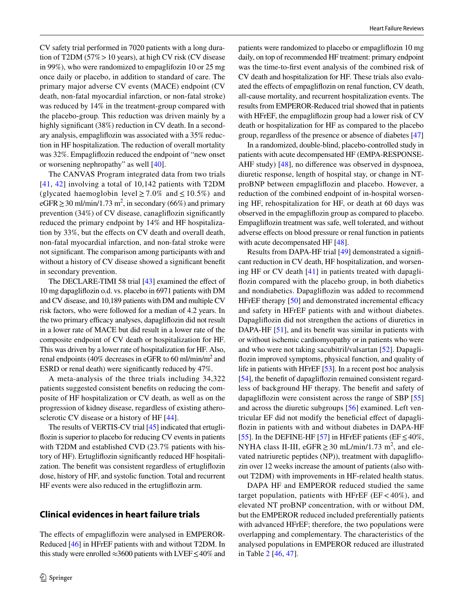CV safety trial performed in 7020 patients with a long duration of T2DM ( $57\% > 10$  years), at high CV risk (CV disease in 99%), who were randomized to empaglifozin 10 or 25 mg once daily or placebo, in addition to standard of care. The primary major adverse CV events (MACE) endpoint (CV death, non-fatal myocardial infarction, or non-fatal stroke) was reduced by 14% in the treatment-group compared with the placebo-group. This reduction was driven mainly by a highly significant (38%) reduction in CV death. In a secondary analysis, empaglifozin was associated with a 35% reduction in HF hospitalization. The reduction of overall mortality was 32%. Empaglifozin reduced the endpoint of "new onset or worsening nephropathy" as well [\[40](#page-16-13)].

The CANVAS Program integrated data from two trials [[41,](#page-16-14) [42](#page-16-15)] involving a total of 10,142 patients with T2DM (glycated haemoglobin level  $\geq 7.0\%$  and  $\leq 10.5\%$ ) and eGFR  $\geq$  30 ml/min/1.73 m<sup>2</sup>, in secondary (66%) and primary prevention (34%) of CV disease, canaglifozin signifcantly reduced the primary endpoint by 14% and HF hospitalization by 33%, but the efects on CV death and overall death, non-fatal myocardial infarction, and non-fatal stroke were not signifcant. The comparison among participants with and without a history of CV disease showed a significant benefit in secondary prevention.

The DECLARE-TIMI 58 trial [\[43\]](#page-16-16) examined the effect of 10 mg dapaglifozin o.d. vs. placebo in 6971 patients with DM and CV disease, and 10,189 patients with DM and multiple CV risk factors, who were followed for a median of 4.2 years. In the two primary efficacy analyses, dapagliflozin did not result in a lower rate of MACE but did result in a lower rate of the composite endpoint of CV death or hospitalization for HF. This was driven by a lower rate of hospitalization for HF. Also, renal endpoints (40% decreases in eGFR to 60 ml/min/m<sup>2</sup> and ESRD or renal death) were signifcantly reduced by 47%.

A meta-analysis of the three trials including 34,322 patients suggested consistent benefts on reducing the composite of HF hospitalization or CV death, as well as on the progression of kidney disease, regardless of existing atherosclerotic CV disease or a history of HF [[44\]](#page-16-17).

The results of VERTIS-CV trial [\[45\]](#page-16-18) indicated that ertuglifozin is superior to placebo for reducing CV events in patients with T2DM and established CVD (23.7% patients with history of HF). Ertuglifozin signifcantly reduced HF hospitalization. The beneft was consistent regardless of ertuglifozin dose, history of HF, and systolic function. Total and recurrent HF events were also reduced in the ertuglifozin arm.

### **Clinical evidences in heart failure trials**

The effects of empagliflozin were analysed in EMPEROR-Reduced [\[46](#page-16-19)] in HFrEF patients with and without T2DM. In this study were enrolled  $\approx$ 3600 patients with LVEF  $\leq$ 40% and patients were randomized to placebo or empaglifozin 10 mg daily, on top of recommended HF treatment: primary endpoint was the time-to-frst event analysis of the combined risk of CV death and hospitalization for HF. These trials also evaluated the effects of empagliflozin on renal function, CV death, all-cause mortality, and recurrent hospitalization events. The results from EMPEROR-Reduced trial showed that in patients with HFrEF, the empagliflozin group had a lower risk of CV death or hospitalization for HF as compared to the placebo group, regardless of the presence or absence of diabetes [[47\]](#page-16-20)

In a randomized, double-blind, placebo-controlled study in patients with acute decompensated HF (EMPA-RESPONSE-AHF study) [[48\]](#page-16-21), no diference was observed in dyspnoea, diuretic response, length of hospital stay, or change in NTproBNP between empaglifozin and placebo. However, a reduction of the combined endpoint of in-hospital worsening HF, rehospitalization for HF, or death at 60 days was observed in the empaglifozin group as compared to placebo. Empaglifozin treatment was safe, well tolerated, and without adverse efects on blood pressure or renal function in patients with acute decompensated HF [\[48](#page-16-21)].

Results from DAPA-HF trial [\[49](#page-16-22)] demonstrated a signifcant reduction in CV death, HF hospitalization, and worsening HF or CV death [[41\]](#page-16-14) in patients treated with dapaglifozin compared with the placebo group, in both diabetics and nondiabetics. Dapaglifozin was added to recommend HFrEF therapy  $[50]$  $[50]$  and demonstrated incremental efficacy and safety in HFrEF patients with and without diabetes. Dapaglifozin did not strengthen the actions of diuretics in DAPA-HF [[51\]](#page-17-0), and its benefit was similar in patients with or without ischemic cardiomyopathy or in patients who were and who were not taking sacubitril/valsartan [[52\]](#page-17-1). Dapaglifozin improved symptoms, physical function, and quality of life in patients with HFrEF [[53\]](#page-17-2). In a recent post hoc analysis [\[54](#page-17-3)], the beneft of dapaglifozin remained consistent regardless of background HF therapy. The beneft and safety of dapaglifozin were consistent across the range of SBP [[55\]](#page-17-4) and across the diuretic subgroups [[56](#page-17-5)] examined. Left ventricular EF did not modify the benefcial efect of dapaglifozin in patients with and without diabetes in DAPA-HF [\[55\]](#page-17-4). In the DEFINE-HF [\[57](#page-17-6)] in HFrEF patients (EF  $\leq 40\%$ , NYHA class II-III,  $eGFR \geq 30 \text{ mL/min}/1.73 \text{ m}^2$ , and elevated natriuretic peptides (NP)), treatment with dapaglifozin over 12 weeks increase the amount of patients (also without T2DM) with improvements in HF-related health status.

DAPA HF and EMPEROR reduced studied the same target population, patients with HFrEF ( $EF < 40\%$ ), and elevated NT proBNP concentration, with or without DM, but the EMPEROR reduced included preferentially patients with advanced HFrEF; therefore, the two populations were overlapping and complementary. The characteristics of the analysed populations in EMPEROR reduced are illustrated in Table [2](#page-7-0) [\[46](#page-16-19), [47\]](#page-16-20).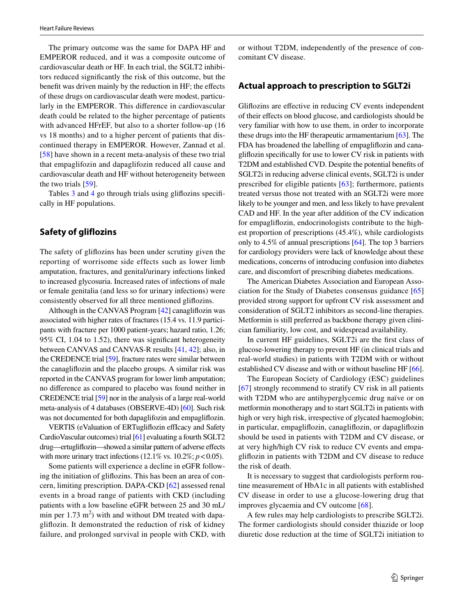The primary outcome was the same for DAPA HF and EMPEROR reduced, and it was a composite outcome of cardiovascular death or HF. In each trial, the SGLT2 inhibitors reduced signifcantly the risk of this outcome, but the benefit was driven mainly by the reduction in HF; the effects of these drugs on cardiovascular death were modest, particularly in the EMPEROR. This diference in cardiovascular death could be related to the higher percentage of patients with advanced HFrEF, but also to a shorter follow-up (16 vs 18 months) and to a higher percent of patients that discontinued therapy in EMPEROR. However, Zannad et al. [\[58\]](#page-17-7) have shown in a recent meta-analysis of these two trial that empaglifozin and dapaglifozin reduced all cause and cardiovascular death and HF without heterogeneity between the two trials [[59\]](#page-17-8).

Tables [3](#page-10-0) and [4](#page-11-0) go through trials using gliftozins specifically in HF populations.

#### **Safety of gliflozins**

The safety of glifozins has been under scrutiny given the reporting of worrisome side effects such as lower limb amputation, fractures, and genital/urinary infections linked to increased glycosuria. Increased rates of infections of male or female genitalia (and less so for urinary infections) were consistently observed for all three mentioned glifozins.

Although in the CANVAS Program [\[42](#page-16-15)] canaglifozin was associated with higher rates of fractures (15.4 vs. 11.9 participants with fracture per 1000 patient-years; hazard ratio, 1.26; 95% CI, 1.04 to 1.52), there was signifcant heterogeneity between CANVAS and CANVAS-R results [[41,](#page-16-14) [42](#page-16-15)]; also, in the CREDENCE trial [\[59\]](#page-17-8), fracture rates were similar between the canaglifozin and the placebo groups. A similar risk was reported in the CANVAS program for lower limb amputation; no diference as compared to placebo was found neither in CREDENCE trial [\[59](#page-17-8)] nor in the analysis of a large real-world meta-analysis of 4 databases (OBSERVE-4D) [\[60\]](#page-17-9). Such risk was not documented for both dapaglifozin and empaglifozin.

VERTIS (eValuation of ERTuglifozin efIcacy and Safety CardioVascular outcomes) trial [[61](#page-17-10)] evaluating a fourth SGLT2 drug—ertuglifozin—showed a similar pattern of adverse efects with more urinary tract infections  $(12.1\% \text{ vs. } 10.2\%; p < 0.05)$ .

Some patients will experience a decline in eGFR following the initiation of glifozins. This has been an area of concern, limiting prescription. DAPA-CKD [[62](#page-17-11)] assessed renal events in a broad range of patients with CKD (including patients with a low baseline eGFR between 25 and 30 mL/ min per  $1.73 \text{ m}^2$ ) with and without DM treated with dapaglifozin. It demonstrated the reduction of risk of kidney failure, and prolonged survival in people with CKD, with or without T2DM, independently of the presence of concomitant CV disease.

#### **Actual approach to prescription to SGLT2i**

Glifozins are efective in reducing CV events independent of their efects on blood glucose, and cardiologists should be very familiar with how to use them, in order to incorporate these drugs into the HF therapeutic armamentarium [\[63](#page-17-12)]. The FDA has broadened the labelling of empaglifozin and canaglifozin specifcally for use to lower CV risk in patients with T2DM and established CVD. Despite the potential benefts of SGLT2i in reducing adverse clinical events, SGLT2i is under prescribed for eligible patients [\[63\]](#page-17-12); furthermore, patients treated versus those not treated with an SGLT2i were more likely to be younger and men, and less likely to have prevalent CAD and HF. In the year after addition of the CV indication for empaglifozin, endocrinologists contribute to the highest proportion of prescriptions (45.4%), while cardiologists only to 4.5% of annual prescriptions [\[64\]](#page-17-13). The top 3 barriers for cardiology providers were lack of knowledge about these medications, concerns of introducing confusion into diabetes care, and discomfort of prescribing diabetes medications.

The American Diabetes Association and European Association for the Study of Diabetes consensus guidance [[65](#page-17-14)] provided strong support for upfront CV risk assessment and consideration of SGLT2 inhibitors as second-line therapies. Metformin is still preferred as backbone therapy given clinician familiarity, low cost, and widespread availability.

In current HF guidelines, SGLT2i are the frst class of glucose-lowering therapy to prevent HF (in clinical trials and real-world studies) in patients with T2DM with or without established CV disease and with or without baseline HF [[66\]](#page-17-15).

The European Society of Cardiology (ESC) guidelines [[67\]](#page-17-16) strongly recommend to stratify CV risk in all patients with T2DM who are antihyperglycemic drug naïve or on metformin monotherapy and to start SGLT2i in patients with high or very high risk, irrespective of glycated haemoglobin; in particular, empaglifozin, canaglifozin, or dapaglifozin should be used in patients with T2DM and CV disease, or at very high/high CV risk to reduce CV events and empaglifozin in patients with T2DM and CV disease to reduce the risk of death.

It is necessary to suggest that cardiologists perform routine measurement of HbA1c in all patients with established CV disease in order to use a glucose-lowering drug that improves glycaemia and CV outcome [\[68](#page-17-17)].

A few rules may help cardiologists to prescribe SGLT2i. The former cardiologists should consider thiazide or loop diuretic dose reduction at the time of SGLT2i initiation to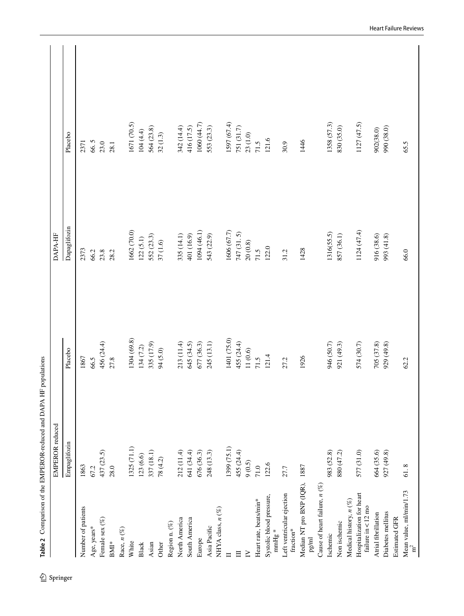<span id="page-7-0"></span>

|                                                   | <b>EMPEROR</b> reduced |             | DAPA-HF      |             |
|---------------------------------------------------|------------------------|-------------|--------------|-------------|
|                                                   | Empaglifozin           | Placebo     | Dapaglifozin | Placebo     |
| Number of patients                                | 1863                   | 1867        | 2373         | 2371        |
| Age, years*                                       | 67.2                   | 66.5        | 66.2         | 66.5        |
| Female sex (%)                                    | 437 (23.5)             | 456 (24.4)  | 23.8         | 23.0        |
| $\mathbf{BM}^*$                                   | 28.0                   | 27.8        | 28.2         | 28.1        |
| Race, $n$ $(\%)$                                  |                        |             |              |             |
| White                                             | 1325 (71.1)            | 1304 (69.8) | 1662 (70.0)  | 1671 (70.5) |
| Black                                             | 123 (6.6)              | 134(7.2)    | 122(5.1)     | 104(4.4)    |
| Asian                                             | 337 (18.1)             | 335 (17.9)  | 552 (23.3)   | 564 (23.8)  |
| Other                                             | 78(4.2)                | 94 (5.0)    | 37 (1.6)     | 32(1.3)     |
| Region n. (%)                                     |                        |             |              |             |
| North America                                     | 212 (11.4)             | 213 (11.4)  | 335 (14.1)   | 342 (14.4)  |
| South America                                     | 641 (34.4)             | 645 (34.5)  | 401 (16.9)   | 416 (17.5)  |
| Europe                                            | 676 (36.3)             | 677 (36.3)  | 1094 (46.1)  | 1060 (44.7) |
| Asia Pacific                                      | 248 (13.3)             | 245 (13.1)  | 543 (22.9)   | 553 (23.3)  |
| NHYA class, $n$ $(\%)$                            |                        |             |              |             |
| $\blacksquare$                                    | 1399 (75.1)            | 1401 (75.0) | 1606 (67.7)  | 1597 (67.4) |
| $\equiv$                                          | 455 (24.4)             | 455 (24.4)  | 747 (31.5)   | 751 (31.7)  |
| $\geq$                                            | 9(0.5)                 | 11(0.6)     | $20\ (0.8)$  | 23(1.0)     |
| Heart rate, beats/min*                            | 71.0                   | 71.5        | 71.5         | 71.5        |
| Systolic blood pressure,<br>$\mathrm{mmHg}$ *     | 122.6                  | 121.4       | 122.0        | 121.6       |
| Left ventricular ejection<br>fraction*            | 27.7                   | 27.2        | 31.2         | 30.9        |
| Median NT pro BNP (IQR), 1887<br>$pg/ml$          |                        | 1926        | 1428         | 1446        |
| Cause of heart failure, $n$ (%)                   |                        |             |              |             |
| Ischemic                                          | 983 (52.8)             | 946 (50.7)  | 1316(55.5)   | 1358(57.3)  |
| Non ischemic                                      | 880 (47.2)             | 921 (49.3)  | 857 (36.1)   | 830 (35.0)  |
| Medical history, $n$ (%)                          |                        |             |              |             |
| Hospitalization for heart<br>failure in $< 12$ mo | 577 (31.0)             | 574 (30.7)  | 1124 (47.4)  | 1127 (47.5) |
| Atrial fibrillation                               | 664 (35.6)             | 705 (37.8)  | 916 (38.6)   | 902(38.0)   |
| Diabetes mellitus                                 | 927 (49.8)             | 929 (49.8)  | 993 (41.8)   | 990 (38.0)  |
| Estimated GFR                                     |                        |             |              |             |
| Mean value, ml/min/1.73<br>m <sup>2</sup>         | 61.8                   | 62.2        | 66.0         | 65.5        |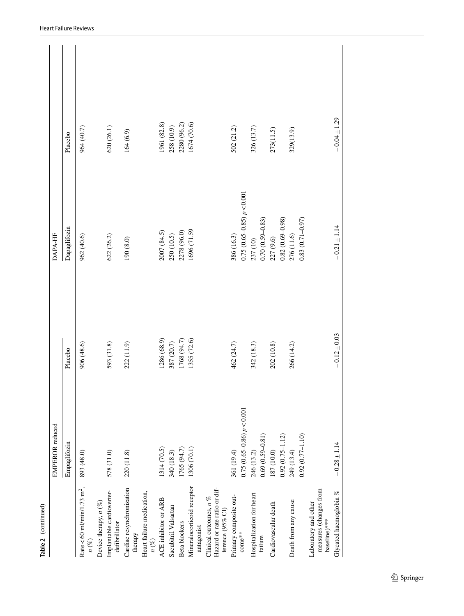| Table 2 (continued)                                                          |                             |                  |                            |                  |
|------------------------------------------------------------------------------|-----------------------------|------------------|----------------------------|------------------|
|                                                                              | <b>EMPEROR</b> reduced      |                  | DAPA-HF                    |                  |
|                                                                              | Empaglifozin                | Placebo          | Dapaglifozin               | Placebo          |
| Rate < 60 ml/min/1.73 m <sup>2</sup> ,<br>$n$ $(\%)$                         | 893 (48.0)                  | 906 (48.6)       | 962 (40.6)                 | 964 (40.7)       |
| Device therapy, $n$ (%)                                                      |                             |                  |                            |                  |
| Implantable cardioverter-<br>defibrillator                                   | 578 (31.0)                  | 593 (31.8)       | 622(26.2)                  | 620(26.1)        |
| Cardiac resynchronization<br>therapy                                         | 220 (11.8)                  | 222 (11.9)       | 190(8.0)                   | 164(6.9)         |
| Heart failure medication,<br>$n\ (\%)$                                       |                             |                  |                            |                  |
| ACE inhibitor or ARB                                                         | 1314 (70.5)                 | 1286 (68.9)      | 2007 (84.5)                | 1961 (82.8)      |
| Sacubitril Valsartan                                                         | 340 (18.3)                  | 387 (20.7)       | 250 (10.5)                 | 258 (10.9)       |
| Beta blockers                                                                | 1765 (94.7)                 | 1768 (94.7)      | 2278 (96.0)                | 2280 (96.2)      |
| Mineralocorticoid receptor<br>antagonist                                     | 1306 (70.1)                 | 1355 (72.6)      | 1696 (71.59                | 1674 (70.6)      |
| Hazard or rate ratio or dif-<br>Clinical outcomes, $n\%$<br>ference (95% CI) |                             |                  |                            |                  |
| Primary composite out-                                                       | 361 (19.4)                  | 462 (24.7)       | 386 (16.3)                 | 502 (21.2)       |
| ${\rm cone}^{**}$                                                            | $0.75(0.65-0.86) p < 0.001$ |                  | $0.75(0.65-0.85)p < 0.001$ |                  |
| Hospitalization for heart                                                    | 246 (13.2)                  | 342 (18.3)       | 237 (10)                   | 326 (13.7)       |
| failure                                                                      | $0.69(0.59 - 0.81)$         |                  | $0.70(0.59 - 0.83)$        |                  |
| Cardiovascular death                                                         | 187 (10.0)                  | 202 (10.8)       | 227 (9.6)                  | 273(11.5)        |
|                                                                              | $0.92(0.75 - 1.12)$         |                  | $0.82(0.69 - 0.98)$        |                  |
| Death from any cause                                                         | 249 (13.4)                  | 266 (14.2)       | 276 (11.6)                 | 329(13.9)        |
|                                                                              | 0.92 (0.77-1.10)            |                  | $0.83(0.71 - 0.97)$        |                  |
| measures (changes from<br>Laboratory and other<br>baseline)***               |                             |                  |                            |                  |
| Glycated haemoglobin %                                                       | $-0.28 \pm 1.14$            | $-0.12 \pm 0.03$ | $-0.21 \pm 1.14$           | $-0.04 \pm 1.29$ |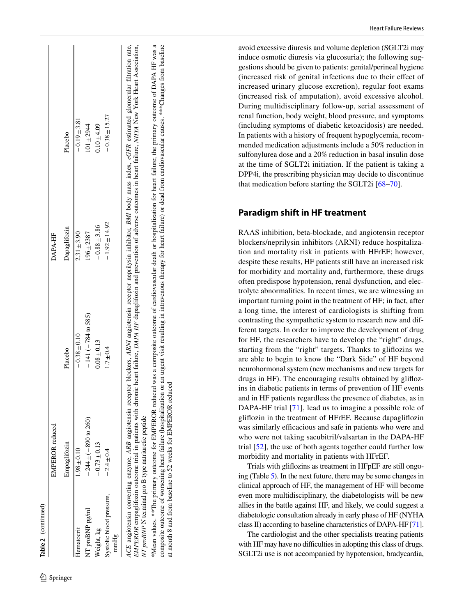|                                  | <b>EMPEROR</b> reduced            |                              | DAPA-HF           |                   |
|----------------------------------|-----------------------------------|------------------------------|-------------------|-------------------|
|                                  | Empaglifozin                      | Placebo                      | Dapaglifozin      | Placebo           |
| Hematocrit                       | $1.98 \pm 0.10$                   | $-0.38 \pm 0.10$             | $2.31 \pm 3.90$   | $-0.19 \pm 3.81$  |
| NT proBNP pg/ml                  | $-244 \pm (-890 \text{ to } 260)$ | $-141(-784 \text{ to } 585)$ | $196 \pm 2387$    | $101 + 2944$      |
| Weight, kg                       | $-0.73 \pm 0.13$                  | $0.08 \pm 0.13$              | $-0.88 \pm 3.86$  | $0.10 + 4.09$     |
| Systolic blood pressure,<br>mmlg | $-2.4 \pm 0.4$                    | $1.7 \pm 0.4$                | $-1.92 \pm 14.92$ | $-0.38 \pm 15.27$ |

\*Mean values. \*\*The primary outcome for EMPEROR reduced was a composite outcome of cardiovascular death or hospitalization for heart failure; the primary outcome of DAPA HF was a \*Mean values. \*\*The primary outcome for EMPEROR reduced was a composite outcome of cardiovascular death or hospitalization for heart failure; the primary outcome of DAPA HF was a composite outcome of worsening heart failure (hospitalization or an urgent visit resulting in intravenous therapy for heart failure) or dead from cardiovascular causes. \*\*\*Changes from baseline composite outcome of worsening heart failure (hospitalization or an urgent visit resulting in intravenous therapy for heart failure) or dead from cardiovascular causes. \*\*\*Changes from baseline at month 8 and from baseline to 52 weeks for EMPEROR reduced at month 8 and from baseline to 52 weeks for EMPEROR reduced NT proBNP N terminal pro B type natriuretic peptide *NT proBNP* N terminal pro B type natriuretic peptide

avoid excessive diuresis and volume depletion (SGLT2i may induce osmotic diuresis via glucosuria); the following sug gestions should be given to patients: genital/perineal hygiene (increased risk of genital infections due to their efect of increased urinary glucose excretion), regular foot exams (increased risk of amputation), avoid excessive alcohol. During multidisciplinary follow-up, serial assessment of renal function, body weight, blood pressure, and symptoms (including symptoms of diabetic ketoacidosis) are needed. In patients with a history of frequent hypoglycemia, recom mended medication adjustments include a 50% reduction in sulfonylurea dose and a 20% reduction in basal insulin dose at the time of SGLT2i initiation. If the patient is taking a DPP4i, the prescribing physician may decide to discontinue that medication before starting the SGLT2i [\[68](#page-17-17) –[70\]](#page-17-18).

## **Paradigm shift in HF treatment**

RAAS inhibition, beta-blockade, and angiotensin receptor blockers/neprilysin inhibitors (ARNI) reduce hospitaliza tion and mortality risk in patients with HFrEF; however, despite these results, HF patients still have an increased risk for morbidity and mortality and, furthermore, these drugs often predispose hypotension, renal dysfunction, and elec trolyte abnormalities. In recent times, we are witnessing an important turning point in the treatment of HF; in fact, after a long time, the interest of cardiologists is shifting from contrasting the sympathetic system to research new and different targets. In order to improve the development of drug for HF, the researchers have to develop the "right" drugs, starting from the "right" targets. Thanks to glifozins we are able to begin to know the "Dark Side" of HF beyond neurohormonal system (new mechanisms and new targets for drugs in HF). The encouraging results obtained by glifoz ins in diabetic patients in terms of prevention of HF events and in HF patients regardless the presence of diabetes, as in DAPA-HF trial [\[71](#page-17-19)], lead us to imagine a possible role of glifozin in the treatment of HFrEF. Because dapaglifozin was similarly efficacious and safe in patients who were and who were not taking sacubitril/valsartan in the DAPA-HF trial [[52\]](#page-17-1), the use of both agents together could further low morbidity and mortality in patients with HFrEF.

Trials with glifozins as treatment in HFpEF are still ongo ing (Table [5](#page-12-0)). In the next future, there may be some changes in clinical approach of HF, the management of HF will become even more multidisciplinary, the diabetologists will be new allies in the battle against HF, and likely, we could suggest a diabetologic consultation already in early phase of HF (NYHA class II) according to baseline characteristics of DAPA-HF [\[71\]](#page-17-19).

The cardiologist and the other specialists treating patients with HF may have no difficulties in adopting this class of drugs. SGLT2i use is not accompanied by hypotension, bradycardia,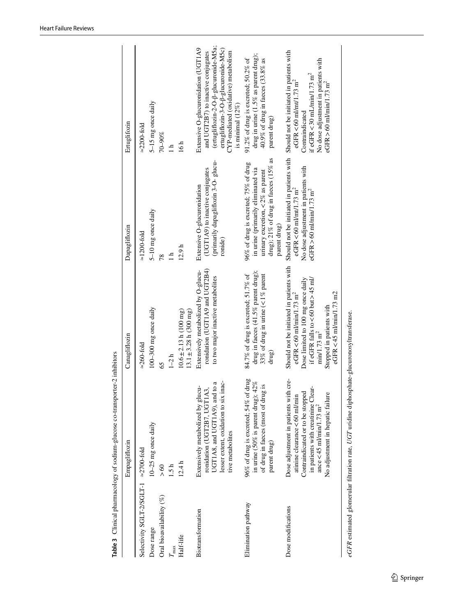|                                      | Empagliflozin                                                                                                                                                                                                                         | Canagliflozin                                                                                                                                                                                                                                        | Dapagliflozin                                                                                                                                                              | Ertuglifozin                                                                                                                                                                                                                    |
|--------------------------------------|---------------------------------------------------------------------------------------------------------------------------------------------------------------------------------------------------------------------------------------|------------------------------------------------------------------------------------------------------------------------------------------------------------------------------------------------------------------------------------------------------|----------------------------------------------------------------------------------------------------------------------------------------------------------------------------|---------------------------------------------------------------------------------------------------------------------------------------------------------------------------------------------------------------------------------|
| Selectivity SGLT-2/SGLT-1 ~2700-fold |                                                                                                                                                                                                                                       | $\simeq 260 -$ fold                                                                                                                                                                                                                                  | $\simeq$ 1200-fold                                                                                                                                                         | $\simeq$ 2200-fold                                                                                                                                                                                                              |
| Dose range                           | 10-25 mg once daily                                                                                                                                                                                                                   | 100-300 mg once daily                                                                                                                                                                                                                                | 5-10 mg once daily                                                                                                                                                         | 5-15 mg once daily                                                                                                                                                                                                              |
| Oral bioavailability (%)             | > 60                                                                                                                                                                                                                                  | 65                                                                                                                                                                                                                                                   | 78                                                                                                                                                                         | 70-90%                                                                                                                                                                                                                          |
| $T_{\rm max}$                        | 1.5h                                                                                                                                                                                                                                  | $1-2 h$                                                                                                                                                                                                                                              | $\mathbf{1}$ h                                                                                                                                                             | $\frac{1}{1}$                                                                                                                                                                                                                   |
| Half-life                            | 12.4h                                                                                                                                                                                                                                 | $10.6 \pm 2.13$ h $(100$ mg)<br>$13.1 \pm 3.28$ h $(300$ mg)                                                                                                                                                                                         | 12.9h                                                                                                                                                                      | 16 <sub>h</sub>                                                                                                                                                                                                                 |
| Biotransformation                    | lesser extent, oxidation to six inac-<br>to a<br>Extensively metabolized by glucu-<br>ronidation (UGT2B7, UGT1A3,<br>UGT1A8, and UGT1A9), and<br>tive metabolites                                                                     | ronidation (UGT1A9 and UGT2B4)<br>Extensively metabolized by O-glucu-<br>to two major inactive metabolites                                                                                                                                           | (primarily dapagliflozin 3-O-glucu-<br>(UGT1A9) to inactive conjugates<br>Extensive O-glucuronidation<br>ronide)                                                           | (ertugliflozin-2-O-β-glucuronide-M5a;<br>Extensive O-glucuronidation (UGT1A9<br>ertugliflozin-3-O-ß-glucuronide-M5c)<br>and UGT2B7) to inactive conjugates<br>CYP-mediated (oxidative) metabolism<br>is minimal $(12\%)$        |
| Elimination pathway                  | drug<br>in urine (50% is parent drug); $42\%$<br>s.<br>of drug in faeces (most of drug<br>96% of drug is excreted; 54% of<br>parent drug)                                                                                             | drug in faeces (41.5% parent drug);<br>84.7% of drug is excreted; 51.7% of<br>33% of drug in urine $(< 1\%$ parent<br>drug)                                                                                                                          | drug); 21% of drug in faeces (15% as<br>96% of drug is excreted; 75% of drug<br>in urine (primarily eliminated via<br>urinary excretion, $< 2\%$ as parent<br>parent drug) | drug in urine $(1.5\%$ as parent drug);<br>91.2% of drug is excreted; $50.2\%$ of<br>40.9% of drug in faeces (33.8% as<br>parent drug)                                                                                          |
| Dose modifications                   | $cre-$<br>in patients with creatinine Clear-<br>Dose adjustment in patients with<br>Contraindicated or to be stopped<br>No adjustment in hepatic failure<br>atinine clearance $< 60$ ml/min<br>ance $<$ 45 ml/min/1.73 m <sup>2</sup> | Should not be initiated in patients with<br>if eGFR falls to $< 60$ but $> 45$ ml/<br>Dose limited to 100 mg once daily<br>eGFR < 45 ml/min/1.73 m2<br>eGFR < 60 ml/min/1.73 m <sup>2</sup><br>Stopped in patients with<br>$min/1.73$ m <sup>2</sup> | Should not be initiated in patients with<br>No dose adjustment in patients with<br>eGFR < 60 ml/mt/1.73 m <sup>2</sup><br>$e$ GFR > 60 ml/min/1.73 m <sup>2</sup>          | Should not be initiated in patients with<br>No dose adjustment in patients with<br>if eGFR < 30 mL/min/1.73 m <sup>2</sup><br>$e$ GFR < 60 ml/mt/1.73 m <sup>2</sup><br>eGFR > 60 ml/min/1.73 m <sup>2</sup><br>Contraindicated |

<span id="page-10-0"></span>Table 3 Clinical pharmacology of sodium-glucose co-transporter-2 inhibitors **Table 3** Clinical pharmacology of sodium-glucose co-transporter-2 inhibitors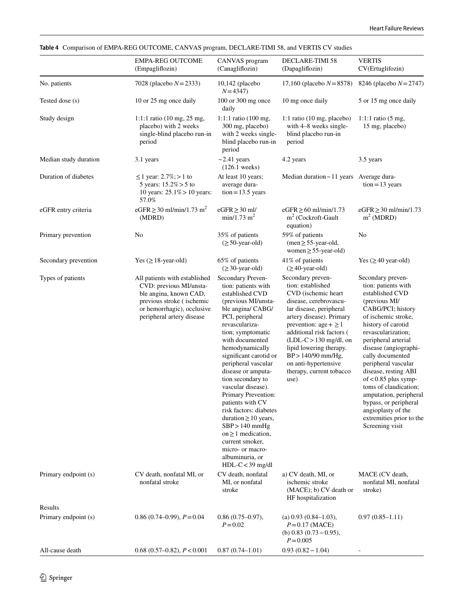|                       | <b>EMPA-REG OUTCOME</b><br>(Empagliflozin)                                                                                                                                 | CANVAS program<br>(Canagliflozin)                                                                                                            | DECLARE-TIMI 58<br>(Dapagliflozin)                                                                                                                                           | <b>VERTIS</b><br>CV(Ertuglifozin)                                                                                                              |
|-----------------------|----------------------------------------------------------------------------------------------------------------------------------------------------------------------------|----------------------------------------------------------------------------------------------------------------------------------------------|------------------------------------------------------------------------------------------------------------------------------------------------------------------------------|------------------------------------------------------------------------------------------------------------------------------------------------|
| No. patients          | 7028 (placebo $N = 2333$ )                                                                                                                                                 | $10,142$ (placebo<br>$N = 4347$                                                                                                              | 17,160 (placebo $N = 8578$ )                                                                                                                                                 | 8246 (placebo $N = 2747$ )                                                                                                                     |
| Tested dose (s)       | 10 or 25 mg once daily                                                                                                                                                     | $100$ or $300$ mg once<br>daily                                                                                                              | 10 mg once daily                                                                                                                                                             | 5 or 15 mg once daily                                                                                                                          |
| Study design          | 1:1:1 ratio $(10 \text{ mg}, 25 \text{ mg})$<br>placebo) with 2 weeks<br>single-blind placebo run-in<br>period                                                             | $1:1:1$ ratio (100 mg,<br>300 mg, placebo)<br>with 2 weeks single-<br>blind placebo run-in<br>period                                         | $1:1$ ratio $(10 \text{ mg}, \text{placebo})$<br>with 4–8 weeks single-<br>blind placebo run-in<br>period                                                                    | $1:1:1$ ratio $(5 \text{ mg},$<br>15 mg, placebo)                                                                                              |
| Median study duration | 3.1 years                                                                                                                                                                  | $\sim$ 2.41 years<br>$(126.1 \text{ weeks})$                                                                                                 | 4.2 years                                                                                                                                                                    | 3.5 years                                                                                                                                      |
| Duration of diabetes  | ≤1 year: 2.7%; > 1 to<br>5 years: $15.2\% > 5$ to<br>10 years: $25.1\% > 10$ years:<br>57.0%                                                                               | At least 10 years;<br>average dura-<br>$tion = 13.5 \text{ years}$                                                                           | Median duration ~ 11 years Average dura-                                                                                                                                     | $\text{tion} = 13 \text{ years}$                                                                                                               |
| eGFR entry criteria   | $eGFR > 30$ ml/min/1.73 m <sup>2</sup><br>(MDRD)                                                                                                                           | $eGFR \geq 30$ ml/<br>$min/1.73$ m <sup>2</sup>                                                                                              | $eGFR > 60$ ml/min/1.73<br>$m2$ (Cockroft-Gault<br>equation)                                                                                                                 | $eGFR > 30$ ml/min/1.73<br>$m2$ (MDRD)                                                                                                         |
| Primary prevention    | No                                                                                                                                                                         | 35% of patients<br>$(≥ 50$ -year-old)                                                                                                        | 59% of patients<br>$(men \geq 55$ -year-old,<br>women $\geq$ 55-year-old)                                                                                                    | No                                                                                                                                             |
| Secondary prevention  | Yes $( \geq 18$ -year-old)                                                                                                                                                 | 65% of patients<br>$(\geq 30$ -year-old)                                                                                                     | 41% of patients<br>$(\geq 40$ -year-old)                                                                                                                                     | Yes $(≥40$ year-old)                                                                                                                           |
| Types of patients     | All patients with established<br>CVD: previous MI/unsta-<br>ble angina, known CAD,<br>previous stroke (ischemic<br>or hemorrhagic), occlusive<br>peripheral artery disease | Secondary Preven-<br>tion: patients with<br>established CVD<br>(previous MI/unsta-<br>ble angina/ CABG/<br>PCI, peripheral<br>revasculariza- | Secondary preven-<br>tion: established<br>CVD (ischemic heart<br>disease, cerebrovascu-<br>lar disease, peripheral<br>artery disease). Primary<br>prevention: $age + \geq 1$ | Secondary preven-<br>tion: patients with<br>established CVD<br>(previous MI/<br>CABG/PCI; history<br>of ischemic stroke,<br>history of carotid |

tion; symptomatic with documented hemodynamically significant carotid or peripheral vascular disease or amputation secondary to vascular disease). Primary Prevention: patients with CV risk factors: diabetes duration≥10 years, SBP>140 mmHg on≥1 medication, current smoker, micro- or macroalbuminuria, or HDL-C<39 mg/dl

CV death, nonfatal MI, or nonfatal stroke

*P*=0.02

additional risk factors ( (LDL-C>130 mg/dl, on lipid lowering therapy. BP>140/90 mm/Hg, on anti-hypertensive therapy, current tobacco

revascularization; peripheral arterial disease (angiographically documented peripheral vascular disease, resting ABI  $of < 0.85$  plus symptoms of claudication; amputation, peripheral bypass, or peripheral angioplasty of the extremities prior to the Screening visit

MACE (CV death, nonfatal MI, nonfatal

0.97 (0.85–1.11)

stroke)

use)

a) CV death, MI, or ischemic stroke (MACE); b) CV death or HF hospitalization

(a) 0.93 (0.84–1.03), *P*=0.17 (MACE) (b) 0.83 (0.73−0.95), *P*=0.005

#### <span id="page-11-0"></span>**Table 4** Comparison of EMPA-REG OUTCOME, CANVAS program, DECLARE-TIMI 58, and VERTIS CV studies

Results

Primary endpoint (s) CV death, nonfatal MI, or

nonfatal stroke

All-cause death 0.68 (0.57–0.82), *P* < 0.001 0.87 (0.74–1.01) 0.93 (0.82 − 1.04)

Primary endpoint (s) 0.86 (0.74–0.99),  $P = 0.04$  0.86 (0.75–0.97),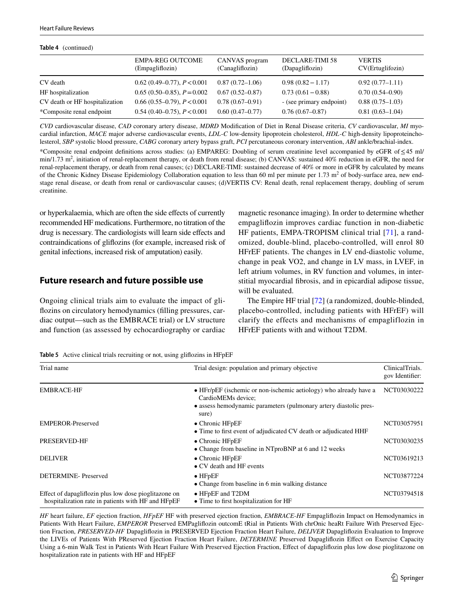#### **Table 4** (continued)

|                                | <b>EMPA-REG OUTCOME</b><br>(Empagliflozin) | CANVAS program<br>(Canagliflozin) | <b>DECLARE-TIMI 58</b><br>(Dapagliflozin) | <b>VERTIS</b><br>CV(Ertugli fozin) |
|--------------------------------|--------------------------------------------|-----------------------------------|-------------------------------------------|------------------------------------|
| CV death                       | $0.62(0.49-0.77), P < 0.001$               | $0.87(0.72 - 1.06)$               | $0.98(0.82 - 1.17)$                       | $0.92(0.77-1.11)$                  |
| HF hospitalization             | $0.65(0.50-0.85), P=0.002$                 | $0.67(0.52 - 0.87)$               | $0.73(0.61 - 0.88)$                       | $0.70(0.54 - 0.90)$                |
| CV death or HF hospitalization | $0.66(0.55-0.79), P < 0.001$               | $0.78(0.67-0.91)$                 | - (see primary endpoint)                  | $0.88(0.75-1.03)$                  |
| *Composite renal endpoint      | $0.54(0.40-0.75), P < 0.001$               | $0.60(0.47-0.77)$                 | $0.76(0.67-0.87)$                         | $0.81(0.63-1.04)$                  |

*CVD* cardiovascular disease, *CAD* coronary artery disease, *MDRD* Modifcation of Diet in Renal Disease criteria, *CV* cardiovascular, *MI* myocardial infarction, *MACE* major adverse cardiovascular events, *LDL-C* low-density lipoprotein cholesterol, *HDL-C* high-density lipoproteincholesterol, *SBP* systolic blood pressure, *CABG* coronary artery bypass graft, *PCI* percutaneous coronary intervention, *ABI* ankle/brachial-index.

\*Composite renal endpoint defnitions across studies: (a) EMPAREG: Doubling of serum creatinine level accompanied by eGFR of≤45 ml/  $min/1.73$   $m^2$ , initiation of renal-replacement therapy, or death from renal disease; (b) CANVAS: sustained 40% reduction in eGFR, the need for renal-replacement therapy, or death from renal causes; (c) DECLARE-TIMI: sustained decrease of 40% or more in eGFR by calculated by means of the Chronic Kidney Disease Epidemiology Collaboration equation to less than 60 ml per minute per  $1.73 \text{ m}^2$  of body-surface area, new endstage renal disease, or death from renal or cardiovascular causes; (d)VERTIS CV: Renal death, renal replacement therapy, doubling of serum creatinine.

or hyperkalaemia, which are often the side efects of currently recommended HF medications. Furthermore, no titration of the drug is necessary. The cardiologists will learn side efects and contraindications of glifozins (for example, increased risk of genital infections, increased risk of amputation) easily.

### **Future research and future possible use**

Ongoing clinical trials aim to evaluate the impact of glifozins on circulatory hemodynamics (flling pressures, cardiac output—such as the EMBRACE trial) or LV structure and function (as assessed by echocardiography or cardiac magnetic resonance imaging). In order to determine whether empaglifozin improves cardiac function in non-diabetic HF patients, EMPA-TROPISM clinical trial [\[71\]](#page-18-0), a randomized, double-blind, placebo-controlled, will enrol 80 HFrEF patients. The changes in LV end-diastolic volume, change in peak VO2, and change in LV mass, in LVEF, in left atrium volumes, in RV function and volumes, in interstitial myocardial fbrosis, and in epicardial adipose tissue, will be evaluated.

The Empire HF trial [[72\]](#page-18-1) (a randomized, double-blinded, placebo-controlled, including patients with HFrEF) will clarify the effects and mechanisms of empagliflozin in HFrEF patients with and without T2DM.

<span id="page-12-0"></span>**Table 5** Active clinical trials recruiting or not, using glifozins in HFpEF

| Trial name                                                                                                  | Trial design: population and primary objective                                                                                                                        | ClinicalTrials.<br>gov Identifier: |
|-------------------------------------------------------------------------------------------------------------|-----------------------------------------------------------------------------------------------------------------------------------------------------------------------|------------------------------------|
| <b>EMBRACE-HF</b>                                                                                           | • HFr/pEF (ischemic or non-ischemic aetiology) who already have a<br>CardioMEMs device;<br>• assess hemodynamic parameters (pulmonary artery diastolic pres-<br>sure) | NCT03030222                        |
| <b>EMPEROR-Preserved</b>                                                                                    | $\bullet$ Chronic HFpEF<br>• Time to first event of adjudicated CV death or adjudicated HHF                                                                           | NCT03057951                        |
| PRESERVED-HF                                                                                                | $\bullet$ Chronic HFpEF<br>• Change from baseline in NTproBNP at 6 and 12 weeks                                                                                       | NCT03030235                        |
| <b>DELIVER</b>                                                                                              | $\bullet$ Chronic HFpEF<br>• CV death and HF events                                                                                                                   | NCT03619213                        |
| <b>DETERMINE-Preserved</b>                                                                                  | $\bullet$ HFpEF<br>• Change from baseline in 6 min walking distance                                                                                                   | NCT03877224                        |
| Effect of dapagliflozin plus low dose pioglitazone on<br>hospitalization rate in patients with HF and HFpEF | • HFpEF and T2DM<br>• Time to first hospitalization for HF                                                                                                            | NCT03794518                        |

*HF* heart failure, *EF* ejection fraction, *HFpEF* HF with preserved ejection fraction, *EMBRACE-HF* Empaglifozin Impact on Hemodynamics in Patients With Heart Failure, *EMPEROR* Preserved EMPaglifozin outcomE tRial in Patients With chrOnic heaRt Failure With Preserved Ejection Fraction, *PRESERVED-HF* Dapaglifozin in PRESERVED Ejection Fraction Heart Failure, *DELIVER* Dapaglifozin Evaluation to Improve the LIVEs of Patients With PReserved Ejection Fraction Heart Failure, *DETERMINE* Preserved Dapaglifozin Efect on Exercise Capacity Using a 6-min Walk Test in Patients With Heart Failure With Preserved Ejection Fraction, Efect of dapaglifozin plus low dose pioglitazone on hospitalization rate in patients with HF and HFpEF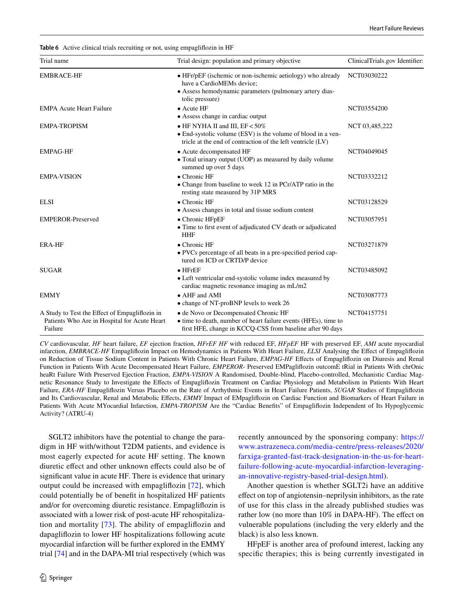<span id="page-13-0"></span>**Table 6** Active clinical trials recruiting or not, using empaglifozin in HF

| Trial name                                                                                                | Trial design: population and primary objective                                                                                                                        | ClinicalTrials.gov Identifier: |
|-----------------------------------------------------------------------------------------------------------|-----------------------------------------------------------------------------------------------------------------------------------------------------------------------|--------------------------------|
| <b>EMBRACE-HF</b>                                                                                         | • HFr/pEF (ischemic or non-ischemic aetiology) who already<br>have a CardioMEMs device:<br>• Assess hemodynamic parameters (pulmonary artery dias-<br>tolic pressure) | NCT03030222                    |
| <b>EMPA Acute Heart Failure</b>                                                                           | $\bullet$ Acute HF<br>• Assess change in cardiac output                                                                                                               | NCT03554200                    |
| <b>EMPA-TROPISM</b>                                                                                       | $\bullet$ HF NYHA II and III, EF < 50%<br>• End-systolic volume (ESV) is the volume of blood in a ven-<br>tricle at the end of contraction of the left ventricle (LV) | NCT 03,485,222                 |
| <b>EMPAG-HF</b>                                                                                           | • Acute decompensated HF<br>• Total urinary output (UOP) as measured by daily volume<br>summed up over 5 days                                                         | NCT04049045                    |
| <b>EMPA-VISION</b>                                                                                        | $\bullet$ Chronic HF<br>• Change from baseline to week 12 in PCr/ATP ratio in the<br>resting state measured by 31P MRS                                                | NCT03332212                    |
| <b>ELSI</b>                                                                                               | $\bullet$ Chronic HF<br>• Assess changes in total and tissue sodium content                                                                                           | NCT03128529                    |
| <b>EMPEROR-Preserved</b>                                                                                  | • Chronic HFpEF<br>• Time to first event of adjudicated CV death or adjudicated<br><b>HHF</b>                                                                         | NCT03057951                    |
| <b>ERA-HF</b>                                                                                             | $\bullet$ Chronic HF<br>• PVCs percentage of all beats in a pre-specified period cap-<br>tured on ICD or CRTD/P device                                                | NCT03271879                    |
| <b>SUGAR</b>                                                                                              | $\bullet$ HFrEF<br>• Left ventricular end-systolic volume index measured by<br>cardiac magnetic resonance imaging as mL/m2                                            | NCT03485092                    |
| <b>EMMY</b>                                                                                               | • AHF and AMI<br>• change of NT-proBNP levels to week 26                                                                                                              | NCT03087773                    |
| A Study to Test the Effect of Empagliflozin in<br>Patients Who Are in Hospital for Acute Heart<br>Failure | • de Novo or Decompensated Chronic HF<br>• time to death, number of heart failure events (HFEs), time to<br>first HFE, change in KCCQ-CSS from baseline after 90 days | NCT04157751                    |

*CV* cardiovascular, *HF* heart failure, *EF* ejection fraction, *HFrEF HF* with reduced EF, *HFpEF* HF with preserved EF, *AMI* acute myocardial infarction, *EMBRACE-HF* Empaglifozin Impact on Hemodynamics in Patients With Heart Failure, *ELSI* Analysing the Efect of Empaglifozin on Reduction of Tissue Sodium Content in Patients With Chronic Heart Failure, *EMPAG-HF* Efects of Empaglifozin on Diuresis and Renal Function in Patients With Acute Decompensated Heart Failure, *EMPEROR*- Preserved EMPaglifozin outcomE tRial in Patients With chrOnic heaRt Failure With Preserved Ejection Fraction, *EMPA-VISION* A Randomised, Double-blind, Placebo-controlled, Mechanistic Cardiac Magnetic Resonance Study to Investigate the Efects of Empaglifozin Treatment on Cardiac Physiology and Metabolism in Patients With Heart Failure, *ERA-HF* Empaglifozin Versus Placebo on the Rate of Arrhythmic Events in Heart Failure Patients, *SUGAR* Studies of Empaglifozin and Its Cardiovascular, Renal and Metabolic Efects, *EMMY* Impact of EMpaglifozin on Cardiac Function and Biomarkers of Heart Failure in Patients With Acute MYocardial Infarction, *EMPA-TROPISM* Are the "Cardiac Benefts" of Empaglifozin Independent of Its Hypoglycemic Activity? (ATRU-4)

SGLT2 inhibitors have the potential to change the paradigm in HF with/without T2DM patients, and evidence is most eagerly expected for acute HF setting. The known diuretic efect and other unknown efects could also be of signifcant value in acute HF. There is evidence that urinary output could be increased with empaglifozin [[72](#page-18-0)], which could potentially be of beneft in hospitalized HF patients and/or for overcoming diuretic resistance. Empaglifozin is associated with a lower risk of post-acute HF rehospitalization and mortality [[73](#page-18-2)]. The ability of empaglifozin and dapaglifozin to lower HF hospitalizations following acute myocardial infarction will be further explored in the EMMY trial [\[74](#page-18-3)] and in the DAPA-MI trial respectively (which was recently announced by the sponsoring company: [https://](https://www.astrazeneca.com/media-centre/press-releases/2020/farxiga-granted-fast-track-designation-in-the-us-for-heart-failure-following-acute-myocardial-infarction-leveraging-an-innovative-registry-based-trial-design.html) [www.astrazeneca.com/media-centre/press-releases/2020/](https://www.astrazeneca.com/media-centre/press-releases/2020/farxiga-granted-fast-track-designation-in-the-us-for-heart-failure-following-acute-myocardial-infarction-leveraging-an-innovative-registry-based-trial-design.html) [farxiga-granted-fast-track-designation-in-the-us-for-heart](https://www.astrazeneca.com/media-centre/press-releases/2020/farxiga-granted-fast-track-designation-in-the-us-for-heart-failure-following-acute-myocardial-infarction-leveraging-an-innovative-registry-based-trial-design.html)[failure-following-acute-myocardial-infarction-leveraging](https://www.astrazeneca.com/media-centre/press-releases/2020/farxiga-granted-fast-track-designation-in-the-us-for-heart-failure-following-acute-myocardial-infarction-leveraging-an-innovative-registry-based-trial-design.html)[an-innovative-registry-based-trial-design.html\)](https://www.astrazeneca.com/media-centre/press-releases/2020/farxiga-granted-fast-track-designation-in-the-us-for-heart-failure-following-acute-myocardial-infarction-leveraging-an-innovative-registry-based-trial-design.html).

Another question is whether SGLT2i have an additive efect on top of angiotensin–neprilysin inhibitors, as the rate of use for this class in the already published studies was rather low (no more than  $10\%$  in DAPA-HF). The effect on vulnerable populations (including the very elderly and the black) is also less known.

HFpEF is another area of profound interest, lacking any specifc therapies; this is being currently investigated in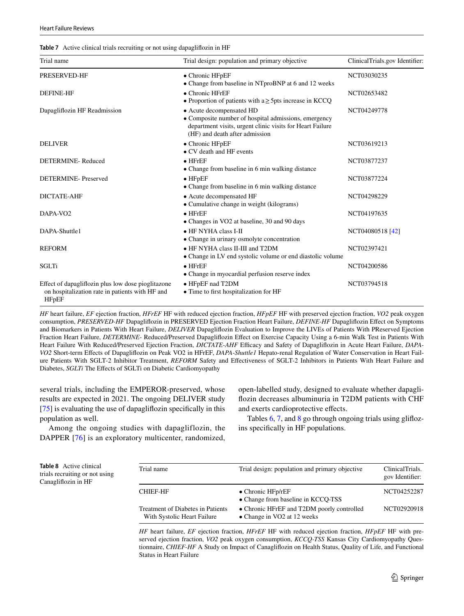<span id="page-14-0"></span>

| Table 7 Active clinical trials recruiting or not using dapagliflozin in HF |  |  |  |  |  |  |  |  |
|----------------------------------------------------------------------------|--|--|--|--|--|--|--|--|
|----------------------------------------------------------------------------|--|--|--|--|--|--|--|--|

| Trial name                                                                                                            | Trial design: population and primary objective                                                                                                                                  | ClinicalTrials.gov Identifier: |
|-----------------------------------------------------------------------------------------------------------------------|---------------------------------------------------------------------------------------------------------------------------------------------------------------------------------|--------------------------------|
| PRESERVED-HF                                                                                                          | $\bullet$ Chronic HFpEF<br>• Change from baseline in NTproBNP at 6 and 12 weeks                                                                                                 | NCT03030235                    |
| <b>DEFINE-HF</b>                                                                                                      | $\bullet$ Chronic HFrEF<br>• Proportion of patients with $a \ge 5$ pts increase in KCCQ                                                                                         | NCT02653482                    |
| Dapagliflozin HF Readmission                                                                                          | • Acute decompensated HD<br>· Composite number of hospital admissions, emergency<br>department visits, urgent clinic visits for Heart Failure<br>(HF) and death after admission | NCT04249778                    |
| <b>DELIVER</b>                                                                                                        | • Chronic HFpEF<br>• CV death and HF events                                                                                                                                     | NCT03619213                    |
| <b>DETERMINE-Reduced</b>                                                                                              | $\bullet$ HFrEF<br>• Change from baseline in 6 min walking distance                                                                                                             | NCT03877237                    |
| <b>DETERMINE-Preserved</b>                                                                                            | $\bullet$ HFpEF<br>• Change from baseline in 6 min walking distance                                                                                                             | NCT03877224                    |
| DICTATE-AHF                                                                                                           | • Acute decompensated HF<br>• Cumulative change in weight (kilograms)                                                                                                           | NCT04298229                    |
| DAPA-VO <sub>2</sub>                                                                                                  | $\bullet$ HFrEF<br>• Changes in VO2 at baseline, 30 and 90 days                                                                                                                 | NCT04197635                    |
| DAPA-Shuttle1                                                                                                         | • HF NYHA class I-II<br>• Change in urinary osmolyte concentration                                                                                                              | NCT04080518 [42]               |
| <b>REFORM</b>                                                                                                         | • HF NYHA class II-III and T2DM<br>• Change in LV end systolic volume or end diastolic volume                                                                                   | NCT02397421                    |
| SGLTi                                                                                                                 | $\bullet$ HFrEF<br>• Change in myocardial perfusion reserve index                                                                                                               | NCT04200586                    |
| Effect of dapagliflozin plus low dose pioglitazone<br>on hospitalization rate in patients with HF and<br><b>HFpEF</b> | • HFpEF nad T2DM<br>• Time to first hospitalization for HF                                                                                                                      | NCT03794518                    |

*HF* heart failure, *EF* ejection fraction, *HFrEF* HF with reduced ejection fraction, *HFpEF* HF with preserved ejection fraction, *VO2* peak oxygen consumption, *PRESERVED-HF* Dapaglifozin in PRESERVED Ejection Fraction Heart Failure, *DEFINE-HF* Dapaglifozin Efect on Symptoms and Biomarkers in Patients With Heart Failure, *DELIVER* Dapaglifozin Evaluation to Improve the LIVEs of Patients With PReserved Ejection Fraction Heart Failure, *DETERMINE*- Reduced/Preserved Dapaglifozin Efect on Exercise Capacity Using a 6-min Walk Test in Patients With Heart Failure With Reduced/Preserved Ejection Fraction, *DICTATE-AHF* Efficacy and Safety of Dapagliflozin in Acute Heart Failure, *DAPA*-*VO2* Short-term Efects of Dapaglifozin on Peak VO2 in HFrEF, *DAPA-Shuttle1* Hepato-renal Regulation of Water Conservation in Heart Failure Patients With SGLT-2 Inhibitor Treatment, *REFORM* Safety and Efectiveness of SGLT-2 Inhibitors in Patients With Heart Failure and Diabetes, *SGLTi* The Efects of SGLTi on Diabetic Cardiomyopathy

several trials, including the EMPEROR-preserved, whose results are expected in 2021. The ongoing DELIVER study [\[75](#page-18-3)] is evaluating the use of dapagliflozin specifically in this population as well.

Among the ongoing studies with dapagliflozin, the DAPPER [\[76](#page-18-4)] is an exploratory multicenter, randomized, open-labelled study, designed to evaluate whether dapaglifozin decreases albuminuria in T2DM patients with CHF and exerts cardioprotective efects.

Tables [6,](#page-13-0) [7,](#page-14-0) and [8](#page-14-1) go through ongoing trials using gliftozins specifcally in HF populations.

<span id="page-14-1"></span>**Table 8** Active clinical trials recruiting or not using Canaglifozin in HF

| Trial name                                                       | Trial design: population and primary objective                            | ClinicalTrials.<br>gov Identifier: |
|------------------------------------------------------------------|---------------------------------------------------------------------------|------------------------------------|
| CHIEF-HF                                                         | $\bullet$ Chronic HFp/rEF<br>• Change from baseline in KCCO-TSS           | NCT04252287                        |
| Treatment of Diabetes in Patients<br>With Systolic Heart Failure | • Chronic HFrEF and T2DM poorly controlled<br>• Change in VO2 at 12 weeks | NCT02920918                        |

*HF* heart failure, *EF* ejection fraction, *HFrEF* HF with reduced ejection fraction, *HFpEF* HF with preserved ejection fraction, *VO2* peak oxygen consumption, *KCCQ-TSS* Kansas City Cardiomyopathy Questionnaire, *CHIEF-HF* A Study on Impact of Canaglifozin on Health Status, Quality of Life, and Functional Status in Heart Failure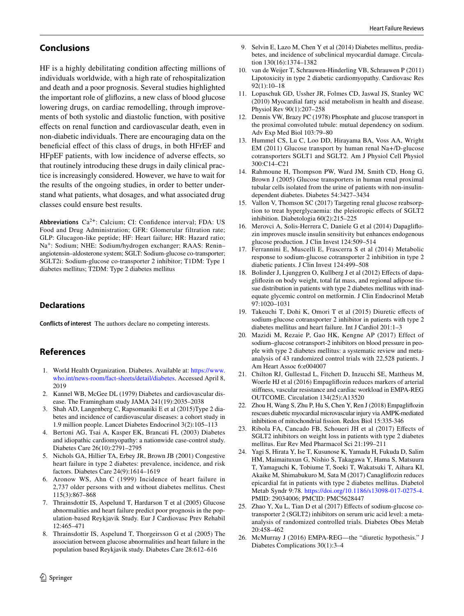#### **Conclusions**

HF is a highly debilitating condition afecting millions of individuals worldwide, with a high rate of rehospitalization and death and a poor prognosis. Several studies highlighted the important role of glifozins, a new class of blood glucose lowering drugs, on cardiac remodelling, through improvements of both systolic and diastolic function, with positive efects on renal function and cardiovascular death, even in non-diabetic individuals. There are encouraging data on the benefcial efect of this class of drugs, in both HFrEF and HFpEF patients, with low incidence of adverse efects, so that routinely introducing these drugs in daily clinical practice is increasingly considered. However, we have to wait for the results of the ongoing studies, in order to better understand what patients, what dosages, and what associated drug classes could ensure best results.

**Abbreviations** Ca<sup>2</sup>**+**: Calcium; CI: Confdence interval; FDA: US Food and Drug Administration; GFR: Glomerular filtration rate; GLP: Glucagon-like peptide; HF: Heart failure; HR: Hazard ratio; Na+: Sodium; NHE: Sodium/hydrogen exchanger; RAAS: Renin– angiotensin–aldosterone system; SGLT: Sodium-glucose co-transporter; SGLT2i: Sodium-glucose co-transporter 2 inhibitor; T1DM: Type 1 diabetes mellitus; T2DM: Type 2 diabetes mellitus

#### **Declarations**

**Conflicts of interest** The authors declare no competing interests.

### **References**

- <span id="page-15-0"></span>1. World Health Organization. Diabetes. Available at: [https://www.](https://www.who.int/news-room/fact-sheets/detail/diabetes) [who.int/news-room/fact-sheets/detail/diabetes](https://www.who.int/news-room/fact-sheets/detail/diabetes). Accessed April 8, 2019
- <span id="page-15-1"></span>2. Kannel WB, McGee DL (1979) Diabetes and cardiovascular disease. The Framingham study JAMA 241(19):2035–2038
- 3. Shah AD, Langenberg C, Rapsomaniki E et al (2015)Type 2 diabetes and incidence of cardiovascular diseases: a cohort study in 1.9 million people. Lancet Diabetes Endocrinol 3(2):105–113
- 4. Bertoni AG, Tsai A, Kasper EK, Brancati FL (2003) Diabetes and idiopathic cardiomyopathy: a nationwide case-control study. Diabetes Care 26(10):2791–2795
- 5. Nichols GA, Hillier TA, Erbey JR, Brown JB (2001) Congestive heart failure in type 2 diabetes: prevalence, incidence, and risk factors. Diabetes Care 24(9):1614–1619
- <span id="page-15-2"></span>6. Aronow WS, Ahn C (1999) Incidence of heart failure in 2,737 older persons with and without diabetes mellitus. Chest 115(3):867–868
- <span id="page-15-3"></span>7. Thrainsdottir IS, Aspelund T, Hardarson T et al (2005) Glucose abnormalities and heart failure predict poor prognosis in the population-based Reykjavik Study. Eur J Cardiovasc Prev Rehabil 12:465–471
- <span id="page-15-4"></span>8. Thrainsdottir IS, Aspelund T, Thorgeirsson G et al (2005) The association between glucose abnormalities and heart failure in the population based Reykjavik study. Diabetes Care 28:612–616
- <span id="page-15-5"></span>9. Selvin E, Lazo M, Chen Y et al (2014) Diabetes mellitus, prediabetes, and incidence of subclinical myocardial damage. Circulation 130(16):1374–1382
- 10. van de Weijer T, Schrauwen-Hinderling VB, Schrauwen P (2011) Lipotoxicity in type 2 diabetic cardiomyopathy. Cardiovasc Res 92(1):10–18
- <span id="page-15-6"></span>11. Lopaschuk GD, Ussher JR, Folmes CD, Jaswal JS, Stanley WC (2010) Myocardial fatty acid metabolism in health and disease. Physiol Rev 90(1):207–258
- <span id="page-15-7"></span>12. Dennis VW, Brazy PC (1978) Phosphate and glucose transport in the proximal convoluted tubule: mutual dependency on sodium. Adv Exp Med Biol 103:79–80
- <span id="page-15-8"></span>13. Hummel CS, Lu C, Loo DD, Hirayama BA, Voss AA, Wright EM (2011) Glucose transport by human renal Na+/D-glucose cotransporters SGLT1 and SGLT2. Am J Physiol Cell Physiol 300:C14–C21
- <span id="page-15-9"></span>14. Rahmoune H, Thompson PW, Ward JM, Smith CD, Hong G, Brown J (2005) Glucose transporters in human renal proximal tubular cells isolated from the urine of patients with non-insulindependent diabetes. Diabetes 54:3427–3434
- <span id="page-15-10"></span>15. Vallon V, Thomson SC (2017) Targeting renal glucose reabsorption to treat hyperglycaemia: the pleiotropic efects of SGLT2 inhibition. Diabetologia 60(2):215–225
- <span id="page-15-11"></span>16. Merovci A, Solis-Herrera C, Daniele G et al (2014) Dapaglifozin improves muscle insulin sensitivity but enhances endogenous glucose production. J Clin Invest 124:509–514
- <span id="page-15-12"></span>17. Ferrannini E, Muscelli E, Frascerra S et al (2014) Metabolic response to sodium-glucose cotransporter 2 inhibition in type 2 diabetic patients. J Clin Invest 124:499–508
- <span id="page-15-13"></span>18. Bolinder J, Ljunggren O, Kullberg J et al (2012) Efects of dapaglifozin on body weight, total fat mass, and regional adipose tissue distribution in patients with type 2 diabetes mellitus with inadequate glycemic control on metformin. J Clin Endocrinol Metab 97:1020–1031
- <span id="page-15-15"></span>19. Takeuchi T, Dohi K, Omori T et al (2015) Diuretic efects of sodium-glucose cotransporter 2 inhibitor in patients with type 2 diabetes mellitus and heart failure. Int J Cardiol 201:1–3
- <span id="page-15-16"></span>20. Mazidi M, Rezaie P, Gao HK, Kengne AP (2017) Effect of sodium–glucose cotransport-2 inhibitors on blood pressure in people with type 2 diabetes mellitus: a systematic review and metaanalysis of 43 randomized control trials with 22,528 patients. J Am Heart Assoc 6:e004007
- <span id="page-15-17"></span>21. Chilton RJ, Gullestad L, Fitchett D, Inzucchi SE, Mattheus M, Woerle HJ et al (2016) Empaglifozin reduces markers of arterial stifness, vascular resistance and cardiac workload in EMPA-REG OUTCOME. Circulation 134(25):A13520
- <span id="page-15-18"></span>22. Zhou H, Wang S, Zhu P, Hu S, Chen Y, Ren J (2018) Empaglifozin rescues diabetic myocardial microvascular injury via AMPK-mediated inhibition of mitochondrial fssion. Redox Biol 15:335-346
- <span id="page-15-19"></span>23. Ribola FA, Cancado FB, Schoueri JH et al (2017) Efects of SGLT2 inhibitors on weight loss in patients with type 2 diabetes mellitus. Eur Rev Med Pharmacol Sci 21:199–211
- <span id="page-15-20"></span>24. Yagi S, Hirata Y, Ise T, Kusunose K, Yamada H, Fukuda D, Salim HM, Maimaituxun G, Nishio S, Takagawa Y, Hama S, Matsuura T, Yamaguchi K, Tobiume T, Soeki T, Wakatsuki T, Aihara KI, Akaike M, Shimabukuro M, Sata M (2017) Canaglifozin reduces epicardial fat in patients with type 2 diabetes mellitus. Diabetol Metab Syndr 9:78. [https://doi.org/10.1186/s13098-017-0275-4.](https://doi.org/10.1186/s13098-017-0275-4) PMID: 29034006; PMCID: PMC5628447
- <span id="page-15-14"></span>25. Zhao Y, Xu L, Tian D et al (2017) Efects of sodium-glucose cotransporter 2 (SGLT2) inhibitors on serum uric acid level: a metaanalysis of randomized controlled trials. Diabetes Obes Metab 20:458–462
- <span id="page-15-21"></span>26. McMurray J (2016) EMPA-REG—the "diuretic hypothesis." J Diabetes Complications 30(1):3–4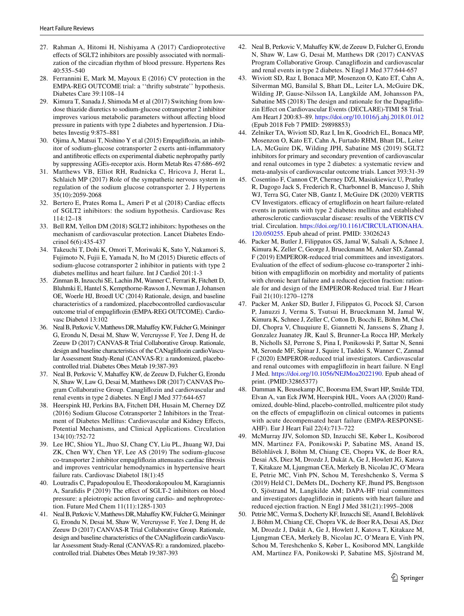- <span id="page-16-0"></span>27. Rahman A, Hitomi H, Nishiyama A (2017) Cardioprotective efects of SGLT2 inhibitors are possibly associated with normalization of the circadian rhythm of blood pressure. Hypertens Res 40:535–540
- <span id="page-16-1"></span>28. Ferrannini E, Mark M, Mayoux E (2016) CV protection in the EMPA-REG OUTCOME trial: a ''thrifty substrate'' hypothesis. Diabetes Care 39:1108–14
- <span id="page-16-2"></span>29. Kimura T, Sanada J, Shimoda M et al (2017) Switching from lowdose thiazide diuretics to sodium-glucose cotransporter 2 inhibitor improves various metabolic parameters without affecting blood pressure in patients with type 2 diabetes and hypertension. J Diabetes Investig 9:875–881
- <span id="page-16-3"></span>30. Ojima A, Matsui T, Nishino Y et al (2015) Empaglifozin, an inhibitor of sodium-glucose cotransporter 2 exerts anti-infammatory and antifbrotic efects on experimental diabetic nephropathy partly by suppressing AGEs-receptor axis. Horm Metab Res 47:686–692
- <span id="page-16-4"></span>31. Matthews VB, Elliot RH, Rudnicka C, Hricova J, Herat L, Schlaich MP (2017) Role of the sympathetic nervous system in regulation of the sodium glucose cotransporter 2. J Hypertens 35(10):2059-2068
- <span id="page-16-5"></span>32. Bertero E, Prates Roma L, Ameri P et al (2018) Cardiac efects of SGLT2 inhibitors: the sodium hypothesis. Cardiovasc Res 114:12–18
- <span id="page-16-6"></span>33. Bell RM, Yellon DM (2018) SGLT2 inhibitors: hypotheses on the mechanism of cardiovascular protection. Lancet Diabetes Endocrinol 6(6):435-437
- <span id="page-16-7"></span>34. Takeuchi T, Dohi K, Omori T, Moriwaki K, Sato Y, Nakamori S, Fujimoto N, Fujii E, Yamada N, Ito M (2015) Diuretic efects of sodium-glucose cotransporter 2 inhibitor in patients with type 2 diabetes mellitus and heart failure. Int J Cardiol 201:1-3
- <span id="page-16-8"></span>35. Zinman B, Inzucchi SE, Lachin JM, Wanner C, Ferrari R, Fitchett D, Bluhmki E, Hantel S, Kempthorne-Rawson J, Newman J, Johansen OE, Woerle HJ, Broedl UC (2014) Rationale, design, and baseline characteristics of a randomized, placebocontrolled cardiovascular outcome trial of empaglifozin (EMPA-REG OUTCOME). Cardiovasc Diabetol 13:102
- <span id="page-16-9"></span>36. Neal B, Perkovic V, Matthews DR, Mahafey KW, Fulcher G, Meininger G, Erondu N, Desai M, Shaw W, Vercruysse F, Yee J, Deng H, de Zeeuw D (2017) CANVAS-R Trial Collaborative Group. Rationale, design and baseline characteristics of the CANaglifozin cardioVascular Assessment Study-Renal (CANVAS-R): a randomized, placebocontrolled trial. Diabetes Obes Metab 19:387-393
- <span id="page-16-10"></span>37. Neal B, Perkovic V, Mahafey KW, de Zeeuw D, Fulcher G, Erondu N, Shaw W, Law G, Desai M, Matthews DR (2017) CANVAS Program Collaborative Group. Canaglifozin and cardiovascular and renal events in type 2 diabetes. N Engl J Med 377:644-657
- <span id="page-16-11"></span>38. Heerspink HJ, Perkins BA, Fitchett DH, Husain M, Cherney DZ (2016) Sodium Glucose Cotransporter 2 Inhibitors in the Treatment of Diabetes Mellitus: Cardiovascular and Kidney Efects, Potential Mechanisms, and Clinical Applications. Circulation 134(10):752-72
- <span id="page-16-12"></span>39. Lee HC, Shiou YL, Jhuo SJ, Chang CY, Liu PL, Jhuang WJ, Dai ZK, Chen WY, Chen YF, Lee AS (2019) The sodium-glucose co-transporter 2 inhibitor empaglifozin attenuates cardiac fbrosis and improves ventricular hemodynamics in hypertensive heart failure rats. Cardiovasc Diabetol 18(1):45
- <span id="page-16-13"></span>40. Loutradis C, Papadopoulou E, Theodorakopoulou M, Karagiannis A, Sarafdis P (2019) The efect of SGLT-2 inhibitors on blood pressure: a pleiotropic action favoring cardio- and nephroprotection. Future Med Chem 11(11):1285-1303
- <span id="page-16-14"></span>41. Neal B, Perkovic V, Matthews DR, Mahafey KW, Fulcher G, Meininger G, Erondu N, Desai M, Shaw W, Vercruysse F, Yee J, Deng H, de Zeeuw D (2017) CANVAS-R Trial Collaborative Group. Rationale, design and baseline characteristics of the CANaglifozin cardioVascular Assessment Study-Renal (CANVAS-R): a randomized, placebocontrolled trial. Diabetes Obes Metab 19:387-393
- <span id="page-16-15"></span>42. Neal B, Perkovic V, Mahafey KW, de Zeeuw D, Fulcher G, Erondu N, Shaw W, Law G, Desai M, Matthews DR (2017) CANVAS Program Collaborative Group. Canaglifozin and cardiovascular and renal events in type 2 diabetes. N Engl J Med 377:644-657
- <span id="page-16-16"></span>43. Wiviott SD, Raz I, Bonaca MP, Mosenzon O, Kato ET, Cahn A, Silverman MG, Bansilal S, Bhatt DL, Leiter LA, McGuire DK, Wilding JP, Gause-Nilsson IA, Langkilde AM, Johansson PA, Sabatine MS (2018) The design and rationale for the Dapaglifozin Efect on Cardiovascular Events (DECLARE)-TIMI 58 Trial. Am Heart J 200:83–89.<https://doi.org/10.1016/j.ahj.2018.01.012> (Epub 2018 Feb 7 PMID: 29898853)
- <span id="page-16-17"></span>44. Zelniker TA, Wiviott SD, Raz I, Im K, Goodrich EL, Bonaca MP, Mosenzon O, Kato ET, Cahn A, Furtado RHM, Bhatt DL, Leiter LA, McGuire DK, Wilding JPH, Sabatine MS (2019) SGLT2 inhibitors for primary and secondary prevention of cardiovascular and renal outcomes in type 2 diabetes: a systematic review and meta-analysis of cardiovascular outcome trials. Lancet 393:31-39
- <span id="page-16-18"></span>45. Cosentino F, Cannon CP, Cherney DZI, Masiukiewicz U, Pratley R, Dagogo Jack S, Frederich R, Charbonnel B, Mancuso J, Shih WJ, Terra SG, Cater NB, Gantz I, McGuire DK (2020) VERTIS CV Investigators. efficacy of ertugliflozin on heart failure-related events in patients with type 2 diabetes mellitus and established atherosclerotic cardiovascular disease: results of the VERTIS CV trial. Circulation. [https://doi.org/10.1161/CIRCULATIONAHA.](https://doi.org/10.1161/CIRCULATIONAHA.120.050255) [120.050255.](https://doi.org/10.1161/CIRCULATIONAHA.120.050255) Epub ahead of print. PMID: 33026243
- <span id="page-16-19"></span>46. Packer M, Butler J, Filippatos GS, Jamal W, Salsali A, Schnee J, Kimura K, Zeller C, George J, Brueckmann M, Anker SD, Zannad F (2019) EMPEROR-reduced trial committees and investigators. Evaluation of the efect of sodium-glucose co-transporter 2 inhibition with empaglifozin on morbidity and mortality of patients with chronic heart failure and a reduced ejection fraction: rationale for and design of the EMPEROR-Reduced trial. Eur J Heart Fail 21(10):1270–1278
- <span id="page-16-20"></span>47. Packer M, Anker SD, Butler J, Filippatos G, Pocock SJ, Carson P, Januzzi J, Verma S, Tsutsui H, Brueckmann M, Jamal W, Kimura K, Schnee J, Zeller C, Cotton D, Bocchi E, Böhm M, Choi DJ, Chopra V, Chuquiure E, Giannetti N, Janssens S, Zhang J, Gonzalez Juanatey JR, Kaul S, Brunner-La Rocca HP, Merkely B, Nicholls SJ, Perrone S, Pina I, Ponikowski P, Sattar N, Senni M, Seronde MF, Spinar J, Squire I, Taddei S, Wanner C, Zannad F (2020) EMPEROR-reduced trial investigators. Cardiovascular and renal outcomes with empaglifozin in heart failure. N Engl J Med. [https://doi.org/10.1056/NEJMoa2022190](https://www.nejm.org/doi/full/10.1056/NEJMoa2022190). Epub ahead of print. (PMID:32865377)
- <span id="page-16-21"></span>48. Damman K, Beusekamp JC, Boorsma EM, Swart HP, Smilde TDJ, Elvan A, van Eck JWM, Heerspink HJL, Voors AA (2020) Randomized, double-blind, placebo-controlled, multicentre pilot study on the efects of empaglifozin on clinical outcomes in patients with acute decompensated heart failure (EMPA-RESPONSE-AHF). Eur J Heart Fail 22(4):713–722
- <span id="page-16-22"></span>49. McMurray JJV, Solomon SD, Inzucchi SE, Køber L, Kosiborod MN, Martinez FA, Ponikowski P, Sabatine MS, Anand IS, Bělohlávek J, Böhm M, Chiang CE, Chopra VK, de Boer RA, Desai AS, Diez M, Drozdz J, Dukát A, Ge J, Howlett JG, Katova T, Kitakaze M, Ljungman CEA, Merkely B, Nicolau JC, O'Meara E, Petrie MC, Vinh PN, Schou M, Tereshchenko S, Verma S (2019) Held C1, DeMets DL, Docherty KF, Jhund PS, Bengtsson O, Sjöstrand M, Langkilde AM; DAPA-HF trial committees and investigators dapaglifozin in patients with heart failure and reduced ejection fraction. N Engl J Med 381(21):1995–2008
- <span id="page-16-23"></span>50. Petrie MC, Verma S, Docherty KF, Inzucchi SE, Anand I, Belohlávek J, Böhm M, Chiang CE, Chopra VK, de Boer RA, Desai AS, Diez M, Drozdz J, Dukát A, Ge J, Howlett J, Katova T, Kitakaze M, Ljungman CEA, Merkely B, Nicolau JC, O'Meara E, Vinh PN, Schou M, Tereshchenko S, Køber L, Kosiborod MN, Langkilde AM, Martinez FA, Ponikowski P, Sabatine MS, Sjöstrand M,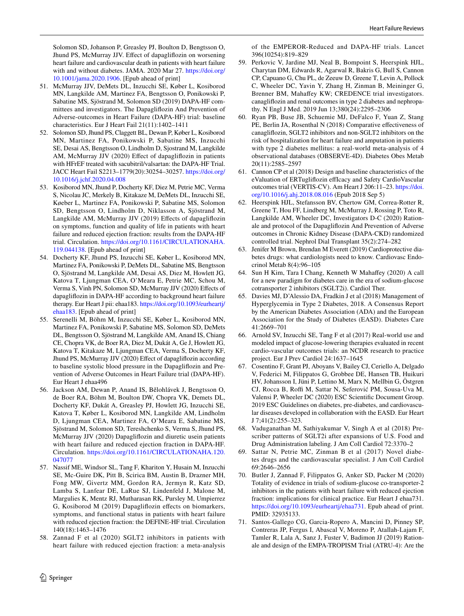Solomon SD, Johanson P, Greasley PJ, Boulton D, Bengtsson O, Jhund PS, McMurray JJV. Efect of dapaglifozin on worsening heart failure and cardiovascular death in patients with heart failure with and without diabetes. JAMA. 2020 Mar 27. [https://doi.org/](https://doi.org/10.1001/jama.2020.1906) [10.1001/jama.2020.1906.](https://doi.org/10.1001/jama.2020.1906) [Epub ahead of print]

- <span id="page-17-0"></span>51. McMurray JJV, DeMets DL, Inzucchi SE, Køber L, Kosiborod MN, Langkilde AM, Martinez FA, Bengtsson O, Ponikowski P, Sabatine MS, Sjöstrand M, Solomon SD (2019) DAPA-HF committees and investigators. The Dapaglifozin And Prevention of Adverse-outcomes in Heart Failure (DAPA-HF) trial: baseline characteristics. Eur J Heart Fail 21(11):1402–1411
- <span id="page-17-1"></span>52. Solomon SD, Jhund PS, Claggett BL, Dewan P, Køber L, Kosiborod MN, Martinez FA, Ponikowski P, Sabatine MS, Inzucchi SE, Desai AS, Bengtsson O, Lindholm D, Sjostrand M, Langkilde AM, McMurray JJV (2020) Efect of dapaglifozin in patients with HFrEF treated with sacubitril/valsartan: the DAPA-HF Trial. JACC Heart Fail S2213–1779(20):30254–30257. [https://doi.org/](https://doi.org/10.1016/j.jchf.2020.04.008) [10.1016/j.jchf.2020.04.008](https://doi.org/10.1016/j.jchf.2020.04.008)
- <span id="page-17-2"></span>53. Kosiborod MN, Jhund P, Docherty KF, Diez M, Petrie MC, Verma S, Nicolau JC, Merkely B, Kitakaze M, DeMets DL, Inzucchi SE, Køeber L, Martinez FA, Ponikowski P, Sabatine MS, Solomon SD, Bengtsson O, Lindholm D, Niklasson A, Sjöstrand M, Langkilde AM, McMurray JJV (2019) Efects of dapaglifozin on symptoms, function and quality of life in patients with heart failure and reduced ejection fraction: results from the DAPA-HF trial. Circulation. [https://doi.org/10.1161/CIRCULATIONAHA.](https://doi.org/10.1161/CIRCULATIONAHA.119.044138) [119.044138.](https://doi.org/10.1161/CIRCULATIONAHA.119.044138) [Epub ahead of print]
- <span id="page-17-3"></span>54. Docherty KF, Jhund PS, Inzucchi SE, Køber L, Kosiborod MN, Martinez FA, Ponikowski P, DeMets DL, Sabatine MS, Bengtsson O, Sjöstrand M, Langkilde AM, Desai AS, Diez M, Howlett JG, Katova T, Ljungman CEA, O'Meara E, Petrie MC, Schou M, Verma S, Vinh PN, Solomon SD, McMurray JJV (2020) Efects of dapaglifozin in DAPA-HF according to background heart failure therapy. Eur Heart J pii: ehaa183. [https://doi.org/10.1093/eurheartj/](https://doi.org/10.1093/eurheartj/ehaa183) [ehaa183.](https://doi.org/10.1093/eurheartj/ehaa183) [Epub ahead of print]
- <span id="page-17-4"></span>55. Serenelli M, Böhm M, Inzucchi SE, Køber L, Kosiborod MN, Martinez FA, Ponikowski P, Sabatine MS, Solomon SD, DeMets DL, Bengtsson O, Sjöstrand M, Langkilde AM, Anand IS, Chiang CE, Chopra VK, de Boer RA, Diez M, Dukát A, Ge J, Howlett JG, Katova T, Kitakaze M, Ljungman CEA, Verma S, Docherty KF, Jhund PS, McMurray JJV (2020) Efect of dapaglifozin according to baseline systolic blood pressure in the Dapaglifozin and Prevention of Adverse Outcomes in Heart Failure trial (DAPA-HF). Eur Heart J ehaa496
- <span id="page-17-5"></span>56. Jackson AM, Dewan P, Anand IS, Bělohlávek J, Bengtsson O, de Boer RA, Böhm M, Boulton DW, Chopra VK, Demets DL, Docherty KF, Dukát A, Greasley PJ, Howlett JG, Inzucchi SE, Katova T, Køber L, Kosiborod MN, Langkilde AM, Lindholm D, Ljungman CEA, Martinez FA, O'Meara E, Sabatine MS, Sjöstrand M, Solomon SD, Tereshchenko S, Verma S, Jhund PS, McMurray JJV (2020) Dapaglifozin and diuretic usein patients with heart failure and reduced ejection fraction in DAPA-HF. Circulation. [https://doi.org/10.1161/CIRCULATIONAHA.120.](https://doi.org/10.1161/CIRCULATIONAHA.120.047077) [047077](https://doi.org/10.1161/CIRCULATIONAHA.120.047077)
- <span id="page-17-6"></span>57. Nassif ME, Windsor SL, Tang F, Khariton Y, Husain M, Inzucchi SE, Mc-Guire DK, Pitt B, Scirica BM, Austin B, Drazner MH, Fong MW, Givertz MM, Gordon RA, Jermyn R, Katz SD, Lamba S, Lanfear DE, LaRue SJ, Lindenfeld J, Malone M, Margulies K, Mentz RJ, Mutharasan RK, Pursley M, Umpierrez G, Kosiborod M (2019) Dapaglifozin efects on biomarkers, symptoms, and functional status in patients with heart failure with reduced ejection fraction: the DEFINE-HF trial. Circulation 140(18):1463–1476
- <span id="page-17-7"></span>58. Zannad F et al (2020) SGLT2 inhibitors in patients with heart failure with reduced ejection fraction: a meta-analysis

of the EMPEROR-Reduced and DAPA-HF trials. Lancet 396(10254):819–829

- <span id="page-17-8"></span>59. Perkovic V, Jardine MJ, Neal B, Bompoint S, Heerspink HJL, Charytan DM, Edwards R, Agarwal R, Bakris G, Bull S, Cannon CP, Capuano G, Chu PL, de Zeeuw D, Greene T, Levin A, Pollock C, Wheeler DC, Yavin Y, Zhang H, Zinman B, Meininger G, Brenner BM, Mahafey KW; CREDENCE trial investigators. canaglifozin and renal outcomes in type 2 diabetes and nephropathy. N Engl J Med. 2019 Jun 13;380(24):2295–2306
- <span id="page-17-9"></span>60. Ryan PB, Buse JB, Schuemie MJ, DeFalco F, Yuan Z, Stang PE, Berlin JA, Rosenthal N (2018) Comparative effectiveness of canaglifozin, SGLT2 inhibitors and non-SGLT2 inhibitors on the risk of hospitalization for heart failure and amputation in patients with type 2 diabetes mellitus: a real-world meta-analysis of 4 observational databases (OBSERVE-4D). Diabetes Obes Metab 20(11):2585–2597
- <span id="page-17-10"></span>61. Cannon CP et al (2018) Design and baseline characteristics of the eValuation of ERTuglifozin efIcacy and Safety CardioVascular outcomes trial (VERTIS-CV). Am Heart J 206:11–23. [https://doi.](https://doi.org/10.1016/j.ahj.2018.08.016) [org/10.1016/j.ahj.2018.08.016](https://doi.org/10.1016/j.ahj.2018.08.016) (Epub 2018 Sep 5)
- <span id="page-17-11"></span>62. Heerspink HJL, Stefansson BV, Chertow GM, Correa-Rotter R, Greene T, Hou FF, Lindberg M, McMurray J, Rossing P, Toto R, Langkilde AM, Wheeler DC, Investigators D-C (2020) Rationale and protocol of the Dapaglifozin And Prevention of Adverse outcomes in Chronic Kidney Disease (DAPA-CKD) randomized controlled trial. Nephrol Dial Transplant 35(2):274–282
- <span id="page-17-12"></span>63. Jenifer M Brown, Brendan M Everett (2019) Cardioprotective diabetes drugs: what cardiologists need to know. Cardiovasc Endocrinol Metab 8(4):96–105
- <span id="page-17-13"></span>64. Sun H Kim, Tara I Chang, Kenneth W Mahafey (2020) A call for a new paradigm for diabetes care in the era of sodium-glucose cotransporter 2 inhibitors (SGLT2i). Cardiol Ther.
- <span id="page-17-14"></span>65. Davies MJ, D'Alessio DA, Fradkin J et al (2018) Management of Hyperglycemia in Type 2 Diabetes, 2018. A Consensus Report by the American Diabetes Association (ADA) and the European Association for the Study of Diabetes (EASD). Diabetes Care 41:2669–701
- <span id="page-17-15"></span>66. Arnold SV, Inzucchi SE, Tang F et al (2017) Real-world use and modeled impact of glucose-lowering therapies evaluated in recent cardio-vascular outcomes trials: an NCDR research to practice project. Eur J Prev Cardiol 24:1637–1645
- <span id="page-17-16"></span>67. Cosentino F, Grant PJ, Aboyans V, Bailey CJ, Ceriello A, Delgado V, Federici M, Filippatos G, Grobbee DE, Hansen TB, Huikuri HV, Johansson I, Jüni P, Lettino M, Marx N, Mellbin G, Östgren CJ, Rocca B, Roffi M, Sattar N, Seferović PM, Sousa-Uva M, Valensi P, Wheeler DC (2020) ESC Scientifc Document Group. 2019 ESC Guidelines on diabetes, pre-diabetes, and cardiovascular diseases developed in collaboration with the EASD. Eur Heart J 7;41(2):255–323.
- <span id="page-17-17"></span>68. Vaduganathan M, Sathiyakumar V, Singh A et al (2018) Prescriber patterns of SGLT2i after expansions of U.S. Food and Drug Administration labeling. J Am Coll Cardiol 72:3370–2
- 69. Sattar N, Petrie MC, Zinman B et al (2017) Novel diabetes drugs and the cardiovascular specialist. J Am Coll Cardiol 69:2646–2656
- <span id="page-17-18"></span>70. Butler J, Zannad F, Filippatos G, Anker SD, Packer M (2020) Totality of evidence in trials of sodium-glucose co-transporter-2 inhibitors in the patients with heart failure with reduced ejection fraction: implications for clinical practice. Eur Heart J ehaa731. [https://doi.org/10.1093/eurheartj/ehaa731.](https://doi.org/10.1093/eurheartj/ehaa731) Epub ahead of print. PMID: 32935133.
- <span id="page-17-19"></span>71. Santos-Gallego CG, Garcia-Ropero A, Mancini D, Pinney SP, Contreras JP, Fergus I, Abascal V, Moreno P, Atallah-Lajam F, Tamler R, Lala A, Sanz J, Fuster V, Badimon JJ (2019) Rationale and design of the EMPA-TROPISM Trial (ATRU-4): Are the